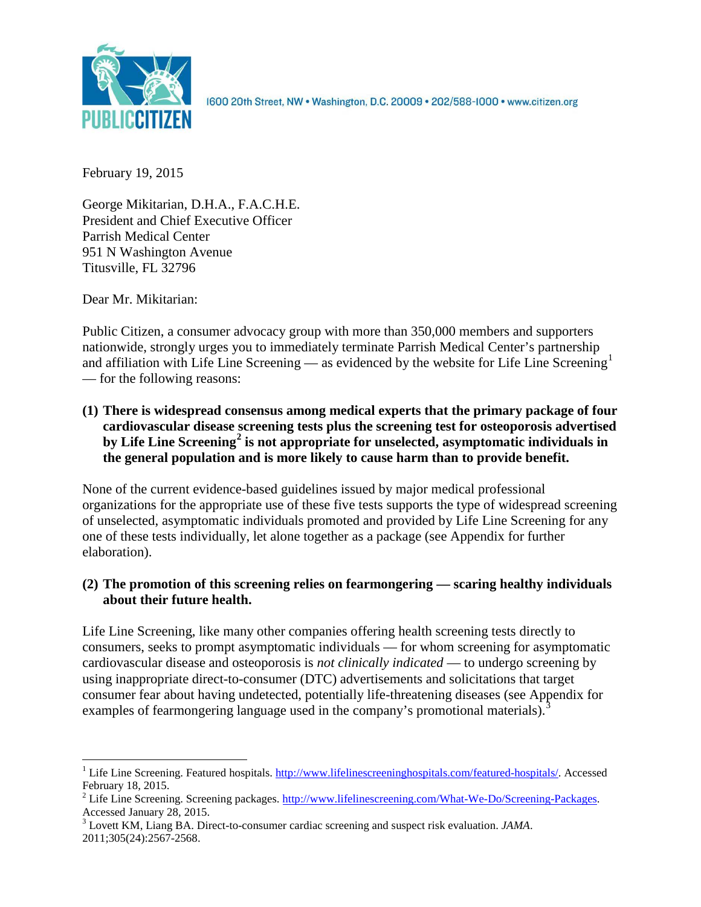

1600 20th Street, NW . Washington, D.C. 20009 . 202/588-1000 . www.citizen.org

February 19, 2015

George Mikitarian, D.H.A., F.A.C.H.E. President and Chief Executive Officer Parrish Medical Center 951 N Washington Avenue Titusville, FL 32796

Dear Mr. Mikitarian:

Public Citizen, a consumer advocacy group with more than 350,000 members and supporters nationwide, strongly urges you to immediately terminate Parrish Medical Center's partnership and affiliation with Life Line Screening — as evidenced by the website for Life Line Screening<sup>[1](#page-0-0)</sup> — for the following reasons:

**(1) There is widespread consensus among medical experts that the primary package of four cardiovascular disease screening tests plus the screening test for osteoporosis advertised by Life Line Screening[2](#page-0-1) is not appropriate for unselected, asymptomatic individuals in the general population and is more likely to cause harm than to provide benefit.**

None of the current evidence-based guidelines issued by major medical professional organizations for the appropriate use of these five tests supports the type of widespread screening of unselected, asymptomatic individuals promoted and provided by Life Line Screening for any one of these tests individually, let alone together as a package (see Appendix for further elaboration).

# **(2) The promotion of this screening relies on fearmongering — scaring healthy individuals about their future health.**

Life Line Screening, like many other companies offering health screening tests directly to consumers, seeks to prompt asymptomatic individuals — for whom screening for asymptomatic cardiovascular disease and osteoporosis is *not clinically indicated* — to undergo screening by using inappropriate direct-to-consumer (DTC) advertisements and solicitations that target consumer fear about having undetected, potentially life-threatening diseases (see Appendix for examples of fearmongering language used in the company's promotional materials).<sup>[3](#page-0-2)</sup>

<span id="page-0-0"></span><sup>&</sup>lt;sup>1</sup> Life Line Screening. Featured hospitals.  $\frac{http://www.lifelinescreeninghospitals.com/featured-hospitals/}{$ . Accessed February 18, 2015.

<span id="page-0-1"></span><sup>&</sup>lt;sup>2</sup> Life Line Screening. Screening packages.  $\frac{http://www.lifelinescreening.com/What-We-Do/Screening-Packages. Accessed January 28, 2015.$ 

<span id="page-0-2"></span><sup>&</sup>lt;sup>3</sup> Lovett KM, Liang BA. Direct-to-consumer cardiac screening and suspect risk evaluation. *JAMA*. 2011;305(24):2567-2568.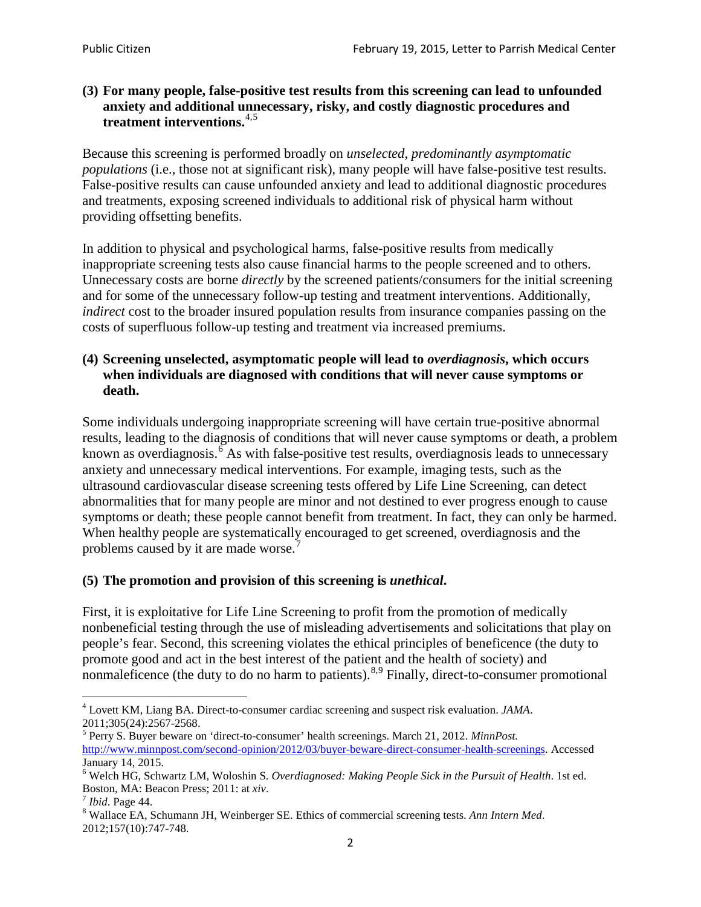## **(3) For many people, false-positive test results from this screening can lead to unfounded anxiety and additional unnecessary, risky, and costly diagnostic procedures and treatment interventions.**[4](#page-1-0),[5](#page-1-1)

Because this screening is performed broadly on *unselected, predominantly asymptomatic populations* (i.e., those not at significant risk), many people will have false**-**positive test results. False-positive results can cause unfounded anxiety and lead to additional diagnostic procedures and treatments, exposing screened individuals to additional risk of physical harm without providing offsetting benefits.

In addition to physical and psychological harms, false-positive results from medically inappropriate screening tests also cause financial harms to the people screened and to others. Unnecessary costs are borne *directly* by the screened patients/consumers for the initial screening and for some of the unnecessary follow-up testing and treatment interventions. Additionally, *indirect* cost to the broader insured population results from insurance companies passing on the costs of superfluous follow-up testing and treatment via increased premiums.

## **(4) Screening unselected, asymptomatic people will lead to** *overdiagnosis***, which occurs when individuals are diagnosed with conditions that will never cause symptoms or death.**

Some individuals undergoing inappropriate screening will have certain true-positive abnormal results, leading to the diagnosis of conditions that will never cause symptoms or death, a problem known as overdiagnosis.<sup>[6](#page-1-2)</sup> As with false-positive test results, overdiagnosis leads to unnecessary anxiety and unnecessary medical interventions. For example, imaging tests, such as the ultrasound cardiovascular disease screening tests offered by Life Line Screening, can detect abnormalities that for many people are minor and not destined to ever progress enough to cause symptoms or death; these people cannot benefit from treatment. In fact, they can only be harmed. When healthy people are systematically encouraged to get screened, overdiagnosis and the problems caused by it are made worse.<sup>[7](#page-1-3)</sup>

# **(5) The promotion and provision of this screening is** *unethical***.**

First, it is exploitative for Life Line Screening to profit from the promotion of medically nonbeneficial testing through the use of misleading advertisements and solicitations that play on people's fear. Second, this screening violates the ethical principles of beneficence (the duty to promote good and act in the best interest of the patient and the health of society) and nonmaleficence (the duty to do no harm to patients).<sup>[8](#page-1-4),[9](#page-1-5)</sup> Finally, direct-to-consumer promotional

<span id="page-1-4"></span>2012;157(10):747-748.

<span id="page-1-5"></span><span id="page-1-0"></span><sup>4</sup> Lovett KM, Liang BA. Direct-to-consumer cardiac screening and suspect risk evaluation. *JAMA*.

<span id="page-1-1"></span><sup>2011;305(24):2567-2568.</sup> <sup>5</sup> Perry S. Buyer beware on 'direct-to-consumer' health screenings. March 21, 2012. *MinnPost.*  [http://www.minnpost.com/second-opinion/2012/03/buyer-beware-direct-consumer-health-screenings.](http://www.minnpost.com/second-opinion/2012/03/buyer-beware-direct-consumer-health-screenings) Accessed January 14, 2015.

<span id="page-1-2"></span><sup>6</sup> Welch HG, Schwartz LM, Woloshin S. *Overdiagnosed: Making People Sick in the Pursuit of Health*. 1st ed. Boston, MA: Beacon Press; 2011: at *xiv*.<br><sup>7</sup> *Ibid*. Page 44.<br><sup>8</sup> Wallace EA, Schumann JH, Weinberger SE. Ethics of commercial screening tests. *Ann Intern Med*.

<span id="page-1-3"></span>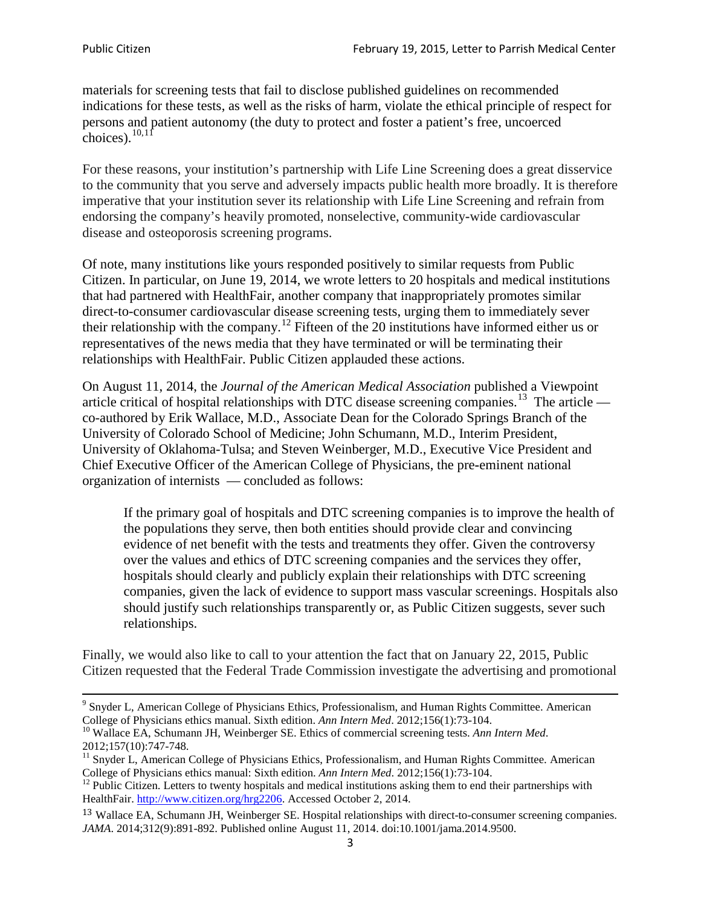materials for screening tests that fail to disclose published guidelines on recommended indications for these tests, as well as the risks of harm, violate the ethical principle of respect for persons and patient autonomy (the duty to protect and foster a patient's free, uncoerced choices). $\frac{10,11}{10,11}$  $\frac{10,11}{10,11}$  $\frac{10,11}{10,11}$  $\frac{10,11}{10,11}$ 

For these reasons, your institution's partnership with Life Line Screening does a great disservice to the community that you serve and adversely impacts public health more broadly. It is therefore imperative that your institution sever its relationship with Life Line Screening and refrain from endorsing the company's heavily promoted, nonselective, community**-**wide cardiovascular disease and osteoporosis screening programs.

Of note, many institutions like yours responded positively to similar requests from Public Citizen. In particular, on June 19, 2014, we wrote letters to 20 hospitals and medical institutions that had partnered with HealthFair, another company that inappropriately promotes similar direct-to-consumer cardiovascular disease screening tests, urging them to immediately sever their relationship with the company. [12](#page-2-2) Fifteen of the 20 institutions have informed either us or representatives of the news media that they have terminated or will be terminating their relationships with HealthFair. Public Citizen applauded these actions.

On August 11, 2014, the *Journal of the American Medical Association* published a Viewpoint article critical of hospital relationships with DTC disease screening companies.<sup>13</sup> The article co-authored by Erik Wallace, M.D., Associate Dean for the Colorado Springs Branch of the University of Colorado School of Medicine; John Schumann, M.D., Interim President, University of Oklahoma-Tulsa; and Steven Weinberger, M.D., Executive Vice President and Chief Executive Officer of the American College of Physicians, the pre**-**eminent national organization of internists — concluded as follows:

If the primary goal of hospitals and DTC screening companies is to improve the health of the populations they serve, then both entities should provide clear and convincing evidence of net benefit with the tests and treatments they offer. Given the controversy over the values and ethics of DTC screening companies and the services they offer, hospitals should clearly and publicly explain their relationships with DTC screening companies, given the lack of evidence to support mass vascular screenings. Hospitals also should justify such relationships transparently or, as Public Citizen suggests, sever such relationships.

Finally, we would also like to call to your attention the fact that on January 22, 2015, Public Citizen requested that the Federal Trade Commission investigate the advertising and promotional

<sup>&</sup>lt;sup>9</sup> Snyder L, American College of Physicians Ethics, Professionalism, and Human Rights Committee. American College of Physicians ethics manual. Sixth edition. Ann Intern Med. 2012;156(1):73-104.

<span id="page-2-0"></span><sup>&</sup>lt;sup>10</sup> Wallace EA, Schumann JH, Weinberger SE. Ethics of commercial screening tests. *Ann Intern Med*. 2012;157(10):747-748.

<span id="page-2-1"></span> $11$  Snyder L, American College of Physicians Ethics, Professionalism, and Human Rights Committee. American College of Physicians ethics manual: Sixth edition. *Ann Intern Med*. 2012;156(1):73-104.<br><sup>12</sup> Public Citizen. Letters to twenty hospitals and medical institutions asking them to end their partnerships with

<span id="page-2-2"></span>HealthFair. [http://www.citizen.org/hrg2206.](http://www.citizen.org/hrg2206) Accessed October 2, 2014.

<span id="page-2-3"></span><sup>13</sup> Wallace EA, Schumann JH, Weinberger SE. Hospital relationships with direct-to-consumer screening companies. *JAMA*. 2014;312(9):891-892. Published online August 11, 2014. doi:10.1001/jama.2014.9500.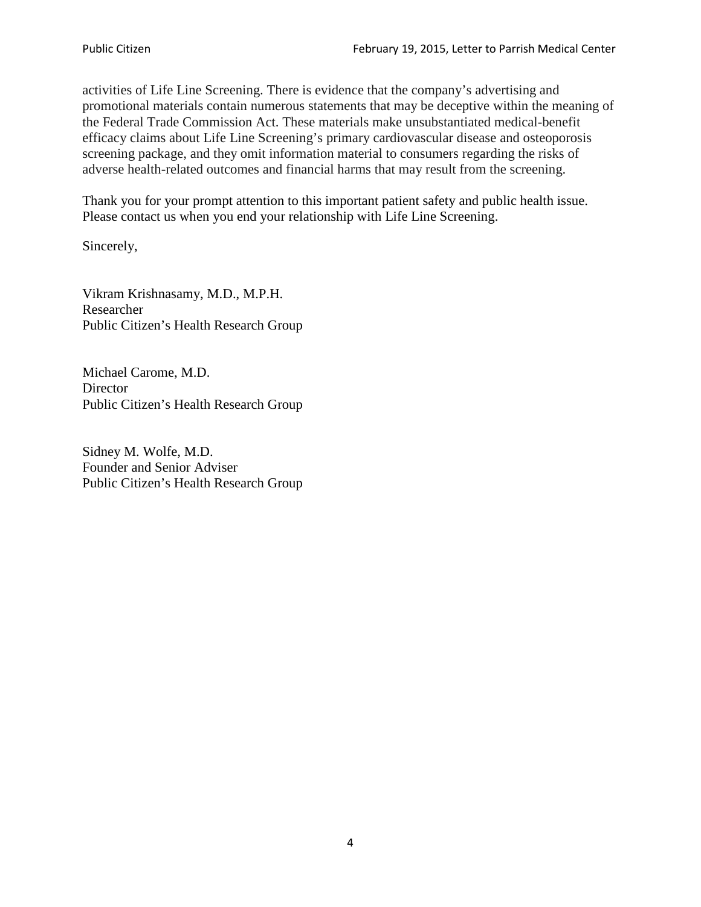activities of Life Line Screening. There is evidence that the company's advertising and promotional materials contain numerous statements that may be deceptive within the meaning of the Federal Trade Commission Act. These materials make unsubstantiated medical-benefit efficacy claims about Life Line Screening's primary cardiovascular disease and osteoporosis screening package, and they omit information material to consumers regarding the risks of adverse health-related outcomes and financial harms that may result from the screening.

Thank you for your prompt attention to this important patient safety and public health issue. Please contact us when you end your relationship with Life Line Screening.

Sincerely,

Vikram Krishnasamy, M.D., M.P.H. Researcher Public Citizen's Health Research Group

Michael Carome, M.D. **Director** Public Citizen's Health Research Group

Sidney M. Wolfe, M.D. Founder and Senior Adviser Public Citizen's Health Research Group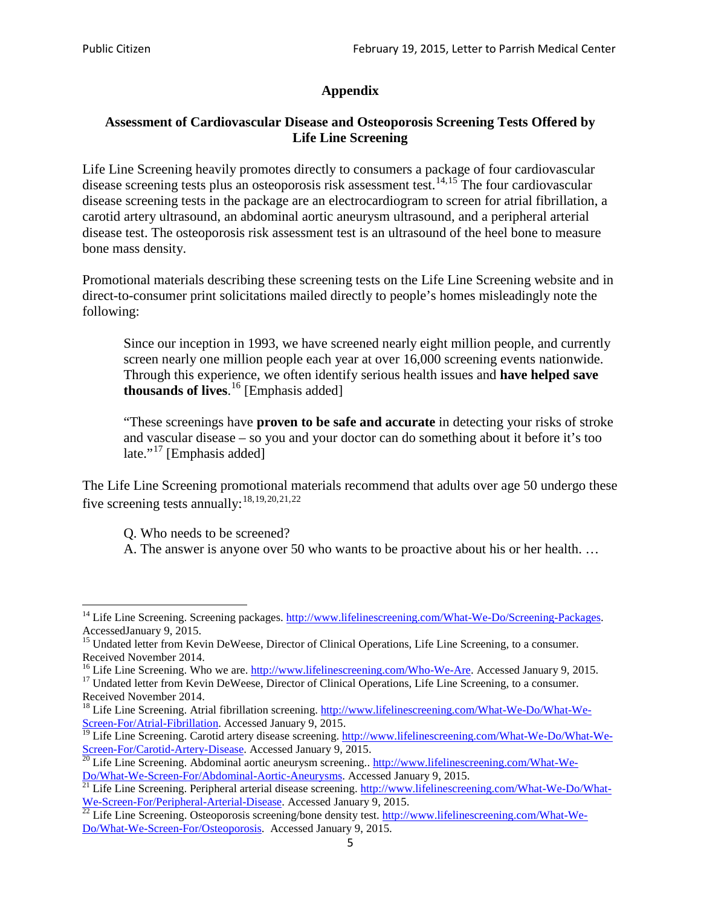# **Appendix**

# **Assessment of Cardiovascular Disease and Osteoporosis Screening Tests Offered by Life Line Screening**

Life Line Screening heavily promotes directly to consumers a package of four cardiovascular disease screening tests plus an osteoporosis risk assessment test.<sup>[14](#page-4-0),[15](#page-4-1)</sup> The four cardiovascular disease screening tests in the package are an electrocardiogram to screen for atrial fibrillation, a carotid artery ultrasound, an abdominal aortic aneurysm ultrasound, and a peripheral arterial disease test. The osteoporosis risk assessment test is an ultrasound of the heel bone to measure bone mass density.

Promotional materials describing these screening tests on the Life Line Screening website and in direct-to-consumer print solicitations mailed directly to people's homes misleadingly note the following:

Since our inception in 1993, we have screened nearly eight million people, and currently screen nearly one million people each year at over 16,000 screening events nationwide. Through this experience, we often identify serious health issues and **have helped save thousands of lives**. [16](#page-4-2) [Emphasis added]

"These screenings have **proven to be safe and accurate** in detecting your risks of stroke and vascular disease – so you and your doctor can do something about it before it's too late."<sup>[17](#page-4-3)</sup> [Emphasis added]

The Life Line Screening promotional materials recommend that adults over age 50 undergo these five screening tests annually:[18](#page-4-4),[19,](#page-4-5)[20,](#page-4-6)[21](#page-4-7),[22](#page-4-8)

Q. Who needs to be screened?

A. The answer is anyone over 50 who wants to be proactive about his or her health. …

<span id="page-4-0"></span><sup>&</sup>lt;sup>14</sup> Life Line Screening. Screening packages. [http://www.lifelinescreening.com/What-We-Do/Screening-Packages.](http://www.lifelinescreening.com/What-We-Do/Screening-Packages) AccessedJanuary 9, 2015.

<span id="page-4-1"></span><sup>&</sup>lt;sup>15</sup> Undated letter from Kevin DeWeese, Director of Clinical Operations, Life Line Screening, to a consumer.

Received November 2014.<br><sup>16</sup> Life Line Screening. Who we are. http://www.lifelinescreening.com/Who-We-Are. Accessed January 9, 2015.

<span id="page-4-3"></span><span id="page-4-2"></span><sup>&</sup>lt;sup>17</sup> Undated letter from Kevin DeWeese, Director of Clinical Operations, Life Line Screening, to a consumer. Received November 2014.

<span id="page-4-4"></span><sup>&</sup>lt;sup>18</sup> Life Line Screening. Atrial fibrillation screening. [http://www.lifelinescreening.com/What-We-Do/What-We-](http://www.lifelinescreening.com/What-We-Do/What-We-Screen-For/Atrial-Fibrillation)[Screen-For/Atrial-Fibrillation.](http://www.lifelinescreening.com/What-We-Do/What-We-Screen-For/Atrial-Fibrillation) Accessed January 9, 2015.

<span id="page-4-5"></span><sup>&</sup>lt;sup>19</sup> Life Line Screening. Carotid artery disease screening. [http://www.lifelinescreening.com/What-We-Do/What-We-](http://www.lifelinescreening.com/What-We-Do/What-We-Screen-For/Carotid-Artery-Disease)

<span id="page-4-6"></span>[Screen-For/Carotid-Artery-Disease.](http://www.lifelinescreening.com/What-We-Do/What-We-Screen-For/Carotid-Artery-Disease) Accessed January 9, 2015.<br><sup>20</sup> Life Line Screening. Abdominal aortic aneurysm screening.. http://www.lifelinescreening.com/What-We-<br>Do/What-We-Screen-For/Abdominal-Aortic-Aneurysms. Acces

<span id="page-4-7"></span> $\frac{1}{21}$  Life Line Screening. Peripheral arterial disease screening. [http://www.lifelinescreening.com/What-We-Do/What-](http://www.lifelinescreening.com/What-We-Do/What-We-Screen-For/Peripheral-Arterial-Disease)

<span id="page-4-8"></span>[We-Screen-For/Peripheral-Arterial-Disease.](http://www.lifelinescreening.com/What-We-Do/What-We-Screen-For/Peripheral-Arterial-Disease) Accessed January 9, 2015.<br><sup>22</sup> Life Line Screening. Osteoporosis screening/bone density test. [http://www.lifelinescreening.com/What-We-](http://www.lifelinescreening.com/What-We-Do/What-We-Screen-For/Osteoporosis)[Do/What-We-Screen-For/Osteoporosis.](http://www.lifelinescreening.com/What-We-Do/What-We-Screen-For/Osteoporosis) Accessed January 9, 2015.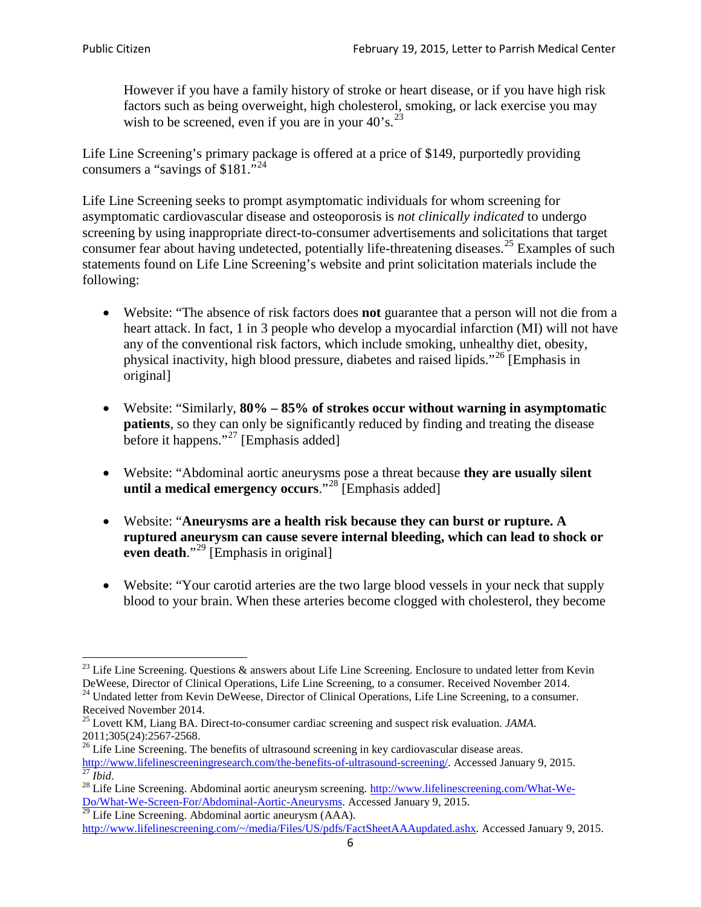However if you have a family history of stroke or heart disease, or if you have high risk factors such as being overweight, high cholesterol, smoking, or lack exercise you may wish to be screened, even if you are in your  $40^\circ$ s.<sup>[23](#page-5-0)</sup>

Life Line Screening's primary package is offered at a price of \$149, purportedly providing consumers a "savings of \$181."<sup>[24](#page-5-1)</sup>

Life Line Screening seeks to prompt asymptomatic individuals for whom screening for asymptomatic cardiovascular disease and osteoporosis is *not clinically indicated* to undergo screening by using inappropriate direct-to-consumer advertisements and solicitations that target consumer fear about having undetected, potentially life-threatening diseases.<sup>[25](#page-5-2)</sup> Examples of such statements found on Life Line Screening's website and print solicitation materials include the following:

- Website: "The absence of risk factors does **not** guarantee that a person will not die from a heart attack. In fact, 1 in 3 people who develop a myocardial infarction (MI) will not have any of the conventional risk factors, which include smoking, unhealthy diet, obesity, physical inactivity, high blood pressure, diabetes and raised lipids."[26](#page-5-3) [Emphasis in original]
- Website: "Similarly, **80% – 85% of strokes occur without warning in asymptomatic patients**, so they can only be significantly reduced by finding and treating the disease before it happens."<sup>[27](#page-5-4)</sup> [Emphasis added]
- Website: "Abdominal aortic aneurysms pose a threat because **they are usually silent until a medical emergency occurs**."[28](#page-5-5) [Emphasis added]
- Website: "**Aneurysms are a health risk because they can burst or rupture. A ruptured aneurysm can cause severe internal bleeding, which can lead to shock or even death.**"<sup>[29](#page-5-6)</sup> [Emphasis in original]
- Website: "Your carotid arteries are the two large blood vessels in your neck that supply blood to your brain. When these arteries become clogged with cholesterol, they become

<span id="page-5-0"></span><sup>&</sup>lt;sup>23</sup> Life Line Screening. Questions  $\&$  answers about Life Line Screening. Enclosure to undated letter from Kevin DeWeese, Director of Clinical Operations, Life Line Screening, to a consumer. Received November 2014.

<span id="page-5-1"></span><sup>&</sup>lt;sup>24</sup> Undated letter from Kevin DeWeese, Director of Clinical Operations, Life Line Screening, to a consumer. Received November 2014.

<span id="page-5-2"></span><sup>25</sup> Lovett KM, Liang BA. Direct-to-consumer cardiac screening and suspect risk evaluation. *JAMA*.  $2011;305(24):2567-2568$ .<br><sup>26</sup> Life Line Screening. The benefits of ultrasound screening in key cardiovascular disease areas.

<span id="page-5-3"></span>[http://www.lifelinescreeningresearch.com/the-benefits-of-ultrasound-screening/.](http://www.lifelinescreeningresearch.com/the-benefits-of-ultrasound-screening/) Accessed January 9, 2015.<br><sup>28</sup> Life Line Screening. Abdominal aortic aneurysm screening. http://www.lifelinescreening.com/What-We-<sup>28</sup>

<span id="page-5-5"></span><span id="page-5-4"></span>[Do/What-We-Screen-For/Abdominal-Aortic-Aneurysms.](http://www.lifelinescreening.com/What-We-Do/What-We-Screen-For/Abdominal-Aortic-Aneurysms) Accessed January 9, 2015. <sup>29</sup> Life Line Screening. Abdominal aortic aneurysm (AAA).

<span id="page-5-6"></span>[http://www.lifelinescreening.com/~/media/Files/US/pdfs/FactSheetAAAupdated.ashx.](http://www.lifelinescreening.com/~/media/Files/US/pdfs/FactSheetAAAupdated.ashx) Accessed January 9, 2015.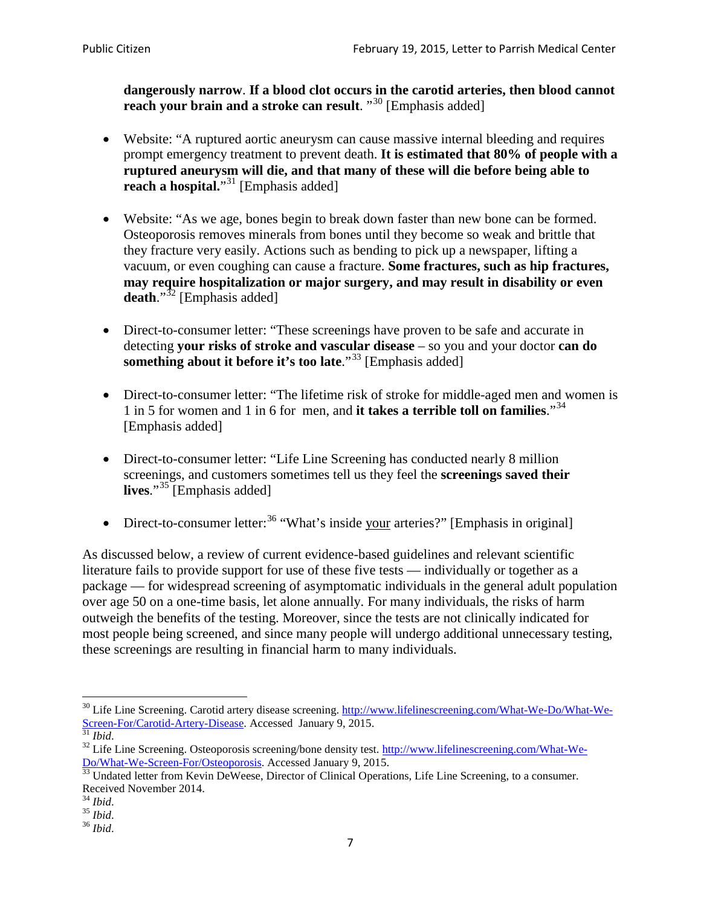**dangerously narrow**. **If a blood clot occurs in the carotid arteries, then blood cannot reach your brain and a stroke can result**. "<sup>[30](#page-6-0)</sup> [Emphasis added]

- Website: "A ruptured aortic aneurysm can cause massive internal bleeding and requires prompt emergency treatment to prevent death. **It is estimated that 80% of people with a ruptured aneurysm will die, and that many of these will die before being able to reach a hospital.**"<sup>[31](#page-6-1)</sup> [Emphasis added]
- Website: "As we age, bones begin to break down faster than new bone can be formed. Osteoporosis removes minerals from bones until they become so weak and brittle that they fracture very easily. Actions such as bending to pick up a newspaper, lifting a vacuum, or even coughing can cause a fracture. **Some fractures, such as hip fractures, may require hospitalization or major surgery, and may result in disability or even**  death."<sup>[32](#page-6-2)</sup> [Emphasis added]
- Direct-to-consumer letter: "These screenings have proven to be safe and accurate in detecting **your risks of stroke and vascular disease** – so you and your doctor **can do something about it before it's too late**."<sup>[33](#page-6-3)</sup> [Emphasis added]
- Direct-to-consumer letter: "The lifetime risk of stroke for middle-aged men and women is 1 in 5 for women and 1 in 6 for men, and **it takes a terrible toll on families**."[34](#page-6-4) [Emphasis added]
- Direct-to-consumer letter: "Life Line Screening has conducted nearly 8 million screenings, and customers sometimes tell us they feel the **screenings saved their**  lives."<sup>[35](#page-6-5)</sup> [Emphasis added]
- Direct-to-consumer letter:  $36$  "What's inside your arteries?" [Emphasis in original]

As discussed below, a review of current evidence-based guidelines and relevant scientific literature fails to provide support for use of these five tests — individually or together as a package — for widespread screening of asymptomatic individuals in the general adult population over age 50 on a one-time basis, let alone annually. For many individuals, the risks of harm outweigh the benefits of the testing. Moreover, since the tests are not clinically indicated for most people being screened, and since many people will undergo additional unnecessary testing, these screenings are resulting in financial harm to many individuals.

<span id="page-6-0"></span><sup>&</sup>lt;sup>30</sup> Life Line Screening. Carotid artery disease screening. [http://www.lifelinescreening.com/What-We-Do/What-We-](http://www.lifelinescreening.com/What-We-Do/What-We-Screen-For/Carotid-Artery-Disease)[Screen-For/Carotid-Artery-Disease.](http://www.lifelinescreening.com/What-We-Do/What-We-Screen-For/Carotid-Artery-Disease) Accessed January 9, 2015.<br><sup>31</sup> *Ibid.* 32 Life Line Screening. Osteoporosis screening/bone density test. [http://www.lifelinescreening.com/What-We-](http://www.lifelinescreening.com/What-We-Do/What-We-Screen-For/Osteoporosis)

<span id="page-6-2"></span><span id="page-6-1"></span>[Do/What-We-Screen-For/Osteoporosis.](http://www.lifelinescreening.com/What-We-Do/What-We-Screen-For/Osteoporosis) Accessed January 9, 2015. <sup>33</sup> Undated letter from Kevin DeWeese, Director of Clinical Operations, Life Line Screening, to a consumer.

<span id="page-6-3"></span>Received November 2014.<br><sup>34</sup> Ibid.

<span id="page-6-4"></span>

<span id="page-6-5"></span><sup>34</sup> *Ibid*. 35 *Ibid*. 36 *Ibid*.

<span id="page-6-6"></span>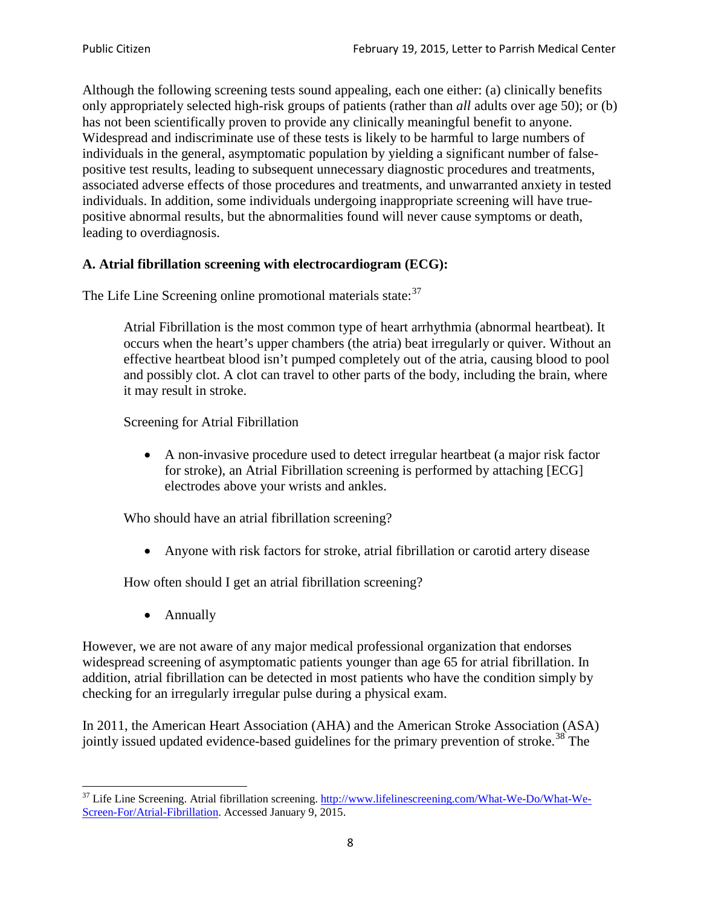Although the following screening tests sound appealing, each one either: (a) clinically benefits only appropriately selected high-risk groups of patients (rather than *all* adults over age 50); or (b) has not been scientifically proven to provide any clinically meaningful benefit to anyone. Widespread and indiscriminate use of these tests is likely to be harmful to large numbers of individuals in the general, asymptomatic population by yielding a significant number of falsepositive test results, leading to subsequent unnecessary diagnostic procedures and treatments, associated adverse effects of those procedures and treatments, and unwarranted anxiety in tested individuals. In addition, some individuals undergoing inappropriate screening will have truepositive abnormal results, but the abnormalities found will never cause symptoms or death, leading to overdiagnosis.

# **A. Atrial fibrillation screening with electrocardiogram (ECG):**

The Life Line Screening online promotional materials state:<sup>[37](#page-7-0)</sup>

Atrial Fibrillation is the most common type of heart arrhythmia (abnormal heartbeat). It occurs when the heart's upper chambers (the atria) beat irregularly or quiver. Without an effective heartbeat blood isn't pumped completely out of the atria, causing blood to pool and possibly clot. A clot can travel to other parts of the body, including the brain, where it may result in stroke.

Screening for Atrial Fibrillation

• A non-invasive procedure used to detect irregular heartbeat (a major risk factor for stroke), an Atrial Fibrillation screening is performed by attaching [ECG] electrodes above your wrists and ankles.

Who should have an atrial fibrillation screening?

• Anyone with risk factors for stroke, atrial fibrillation or carotid artery disease

How often should I get an atrial fibrillation screening?

• Annually

<span id="page-7-1"></span>However, we are not aware of any major medical professional organization that endorses widespread screening of asymptomatic patients younger than age 65 for atrial fibrillation. In addition, atrial fibrillation can be detected in most patients who have the condition simply by checking for an irregularly irregular pulse during a physical exam.

In 2011, the American Heart Association (AHA) and the American Stroke Association (ASA) jointly issued updated evidence-based guidelines for the primary prevention of stroke.<sup>[38](#page-7-1)</sup> The

<span id="page-7-0"></span><sup>&</sup>lt;sup>37</sup> Life Line Screening. Atrial fibrillation screening. [http://www.lifelinescreening.com/What-We-Do/What-We-](http://www.lifelinescreening.com/What-We-Do/What-We-Screen-For/Atrial-Fibrillation)[Screen-For/Atrial-Fibrillation.](http://www.lifelinescreening.com/What-We-Do/What-We-Screen-For/Atrial-Fibrillation) Accessed January 9, 2015.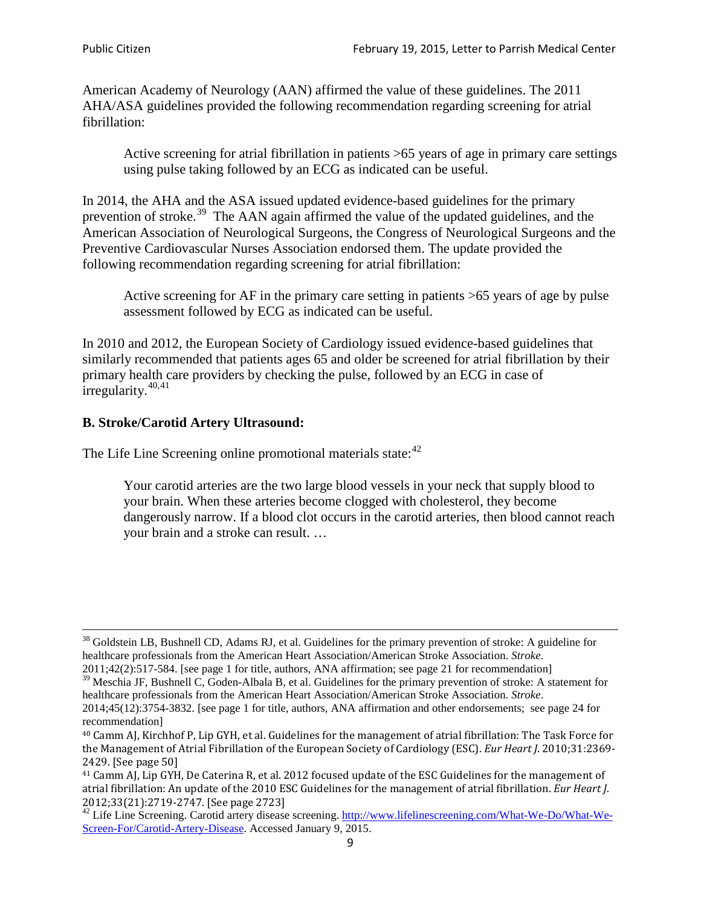American Academy of Neurology (AAN) affirmed the value of these guidelines. The 2011 AHA/ASA guidelines provided the following recommendation regarding screening for atrial fibrillation:

Active screening for atrial fibrillation in patients >65 years of age in primary care settings using pulse taking followed by an ECG as indicated can be useful.

In 2014, the AHA and the ASA issued updated evidence-based guidelines for the primary prevention of stroke.<sup>[39](#page-8-0)</sup> The AAN again affirmed the value of the updated guidelines, and the American Association of Neurological Surgeons, the Congress of Neurological Surgeons and the Preventive Cardiovascular Nurses Association endorsed them. The update provided the following recommendation regarding screening for atrial fibrillation:

Active screening for AF in the primary care setting in patients >65 years of age by pulse assessment followed by ECG as indicated can be useful.

In 2010 and 2012, the European Society of Cardiology issued evidence-based guidelines that similarly recommended that patients ages 65 and older be screened for atrial fibrillation by their primary health care providers by checking the pulse, followed by an ECG in case of irregularity. $40,41$  $40,41$ 

# **B. Stroke/Carotid Artery Ultrasound:**

The Life Line Screening online promotional materials state:<sup>[42](#page-8-3)</sup>

Your carotid arteries are the two large blood vessels in your neck that supply blood to your brain. When these arteries become clogged with cholesterol, they become dangerously narrow. If a blood clot occurs in the carotid arteries, then blood cannot reach your brain and a stroke can result. …

<sup>&</sup>lt;sup>38</sup> Goldstein LB, Bushnell CD, Adams RJ, et al. Guidelines for the primary prevention of stroke: A guideline for healthcare professionals from the American Heart Association/American Stroke Association. *Stroke*.

<sup>2011;42(2):517-584.</sup> [see page 1 for title, authors, ANA affirmation; see page 21 for recommendation]

<span id="page-8-0"></span> $\frac{2011,42(2)(317,601)}{39}$  Meschia JF, Bushnell C, Goden-Albala B, et al. Guidelines for the primary prevention of stroke: A statement for healthcare professionals from the American Heart Association/American Stroke Association. *Stroke*.

<sup>2014;45(12):3754-3832.</sup> [see page 1 for title, authors, ANA affirmation and other endorsements; see page 24 for recommendation]

<span id="page-8-1"></span><sup>40</sup> Camm AJ, Kirchhof P, Lip GYH, et al. Guidelines for the management of atrial fibrillation: The Task Force for the Management of Atrial Fibrillation of the European Society of Cardiology (ESC). *Eur Heart J*. 2010;31:2369- 2429. [See page 50]

<span id="page-8-2"></span><sup>41</sup> Camm AJ, Lip GYH, De Caterina R, et al. 2012 focused update of the ESC Guidelines for the management of atrial fibrillation: An update of the 2010 ESC Guidelines for the management of atrial fibrillation. *Eur Heart J*.

<span id="page-8-3"></span><sup>2012;33(21):2719-2747. [</sup>See page 2723]<br><sup>42</sup> Life Line Screening. Carotid artery disease screening. [http://www.lifelinescreening.com/What-We-Do/What-We-](http://www.lifelinescreening.com/What-We-Do/What-We-Screen-For/Carotid-Artery-Disease)[Screen-For/Carotid-Artery-Disease.](http://www.lifelinescreening.com/What-We-Do/What-We-Screen-For/Carotid-Artery-Disease) Accessed January 9, 2015.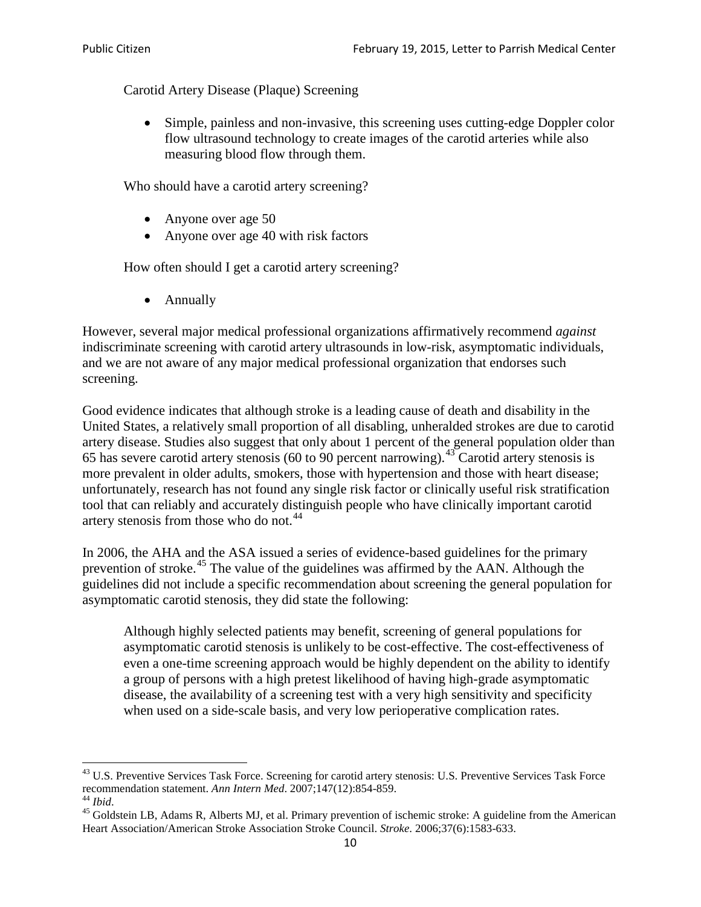Carotid Artery Disease (Plaque) Screening

• Simple, painless and non-invasive, this screening uses cutting-edge Doppler color flow ultrasound technology to create images of the carotid arteries while also measuring blood flow through them.

Who should have a carotid artery screening?

- Anyone over age 50
- Anyone over age 40 with risk factors

How often should I get a carotid artery screening?

• Annually

However, several major medical professional organizations affirmatively recommend *against* indiscriminate screening with carotid artery ultrasounds in low-risk, asymptomatic individuals, and we are not aware of any major medical professional organization that endorses such screening.

Good evidence indicates that although stroke is a leading cause of death and disability in the United States, a relatively small proportion of all disabling, unheralded strokes are due to carotid artery disease. Studies also suggest that only about 1 percent of the general population older than 65 has severe carotid artery stenosis (60 to 90 percent narrowing).<sup>[43](#page-9-0)</sup> Carotid artery stenosis is more prevalent in older adults, smokers, those with hypertension and those with heart disease; unfortunately, research has not found any single risk factor or clinically useful risk stratification tool that can reliably and accurately distinguish people who have clinically important carotid artery stenosis from those who do not.<sup>[44](#page-9-1)</sup>

In 2006, the AHA and the ASA issued a series of evidence-based guidelines for the primary prevention of stroke.[45](#page-9-2) The value of the guidelines was affirmed by the AAN. Although the guidelines did not include a specific recommendation about screening the general population for asymptomatic carotid stenosis, they did state the following:

Although highly selected patients may benefit, screening of general populations for asymptomatic carotid stenosis is unlikely to be cost-effective. The cost-effectiveness of even a one-time screening approach would be highly dependent on the ability to identify a group of persons with a high pretest likelihood of having high-grade asymptomatic disease, the availability of a screening test with a very high sensitivity and specificity when used on a side-scale basis, and very low perioperative complication rates.

<span id="page-9-0"></span> $^{43}$  U.S. Preventive Services Task Force. Screening for carotid artery stenosis: U.S. Preventive Services Task Force recommendation statement. Ann Intern Med. 2007;147(12):854-859.

<span id="page-9-2"></span><span id="page-9-1"></span><sup>&</sup>lt;sup>44</sup> *Ibid*. <sup>45</sup> Goldstein LB, Adams R, Alberts MJ, et al. Primary prevention of ischemic stroke: A guideline from the American <sup>45</sup> Goldstein LB, Adams R, Alberts MJ, et al. Primary prevention of ischemic stroke: A guide Heart Association/American Stroke Association Stroke Council. *Stroke*. 2006;37(6):1583-633.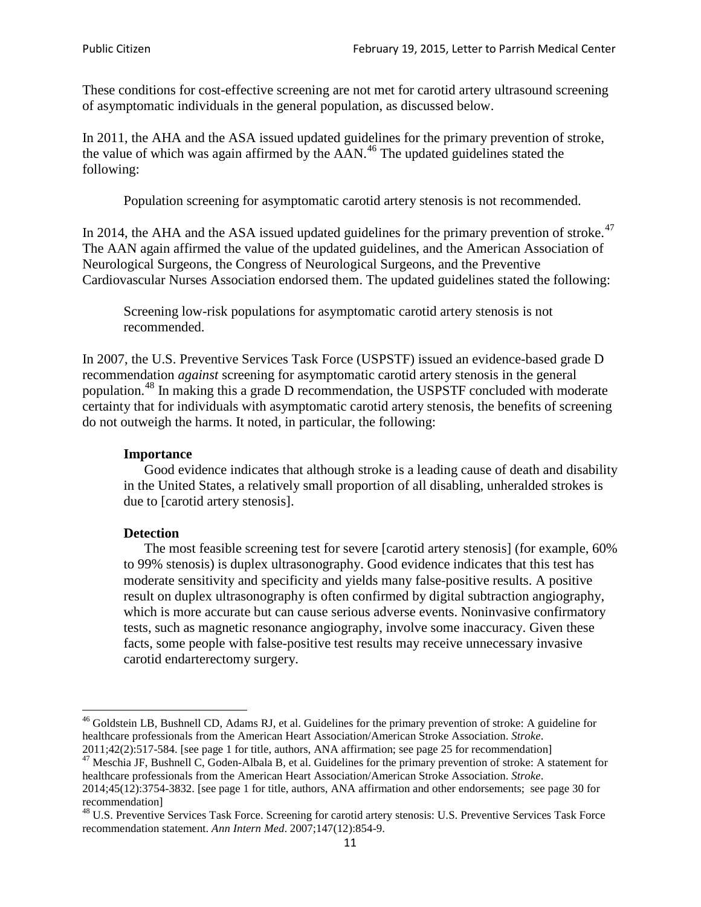These conditions for cost-effective screening are not met for carotid artery ultrasound screening of asymptomatic individuals in the general population, as discussed below.

In 2011, the AHA and the ASA issued updated guidelines for the primary prevention of stroke, the value of which was again affirmed by the  $AAN<sup>46</sup>$  $AAN<sup>46</sup>$  $AAN<sup>46</sup>$ . The updated guidelines stated the following:

Population screening for asymptomatic carotid artery stenosis is not recommended.

In 2014, the AHA and the ASA issued updated guidelines for the primary prevention of stroke.<sup>47</sup> The AAN again affirmed the value of the updated guidelines, and the American Association of Neurological Surgeons, the Congress of Neurological Surgeons, and the Preventive Cardiovascular Nurses Association endorsed them. The updated guidelines stated the following:

Screening low-risk populations for asymptomatic carotid artery stenosis is not recommended.

In 2007, the U.S. Preventive Services Task Force (USPSTF) issued an evidence-based grade D recommendation *against* screening for asymptomatic carotid artery stenosis in the general population.[48](#page-10-2) In making this a grade D recommendation, the USPSTF concluded with moderate certainty that for individuals with asymptomatic carotid artery stenosis, the benefits of screening do not outweigh the harms. It noted, in particular, the following:

#### **Importance**

Good evidence indicates that although stroke is a leading cause of death and disability in the United States, a relatively small proportion of all disabling, unheralded strokes is due to [carotid artery stenosis].

#### **Detection**

The most feasible screening test for severe [carotid artery stenosis] (for example, 60% to 99% stenosis) is duplex ultrasonography. Good evidence indicates that this test has moderate sensitivity and specificity and yields many false-positive results. A positive result on duplex ultrasonography is often confirmed by digital subtraction angiography, which is more accurate but can cause serious adverse events. Noninvasive confirmatory tests, such as magnetic resonance angiography, involve some inaccuracy. Given these facts, some people with false-positive test results may receive unnecessary invasive carotid endarterectomy surgery.

<span id="page-10-0"></span><sup>&</sup>lt;sup>46</sup> Goldstein LB, Bushnell CD, Adams RJ, et al. Guidelines for the primary prevention of stroke: A guideline for healthcare professionals from the American Heart Association/American Stroke Association. *Stroke*.<br>2011;42(2):517-584. [see page 1 for title, authors, ANA affirmation; see page 25 for recommendation]

<span id="page-10-1"></span><sup>&</sup>lt;sup>47</sup> Meschia JF, Bushnell C, Goden-Albala B, et al. Guidelines for the primary prevention of stroke: A statement for healthcare professionals from the American Heart Association/American Stroke Association. *Stroke*. 2014;45(12):3754-3832. [see page 1 for title, authors, ANA affirmation and other endorsements; see page 30 for

recommendation]<br><sup>48</sup> U.S. Preventive Services Task Force. Screening for carotid artery stenosis: U.S. Preventive Services Task Force

<span id="page-10-2"></span>recommendation statement. *Ann Intern Med*. 2007;147(12):854-9.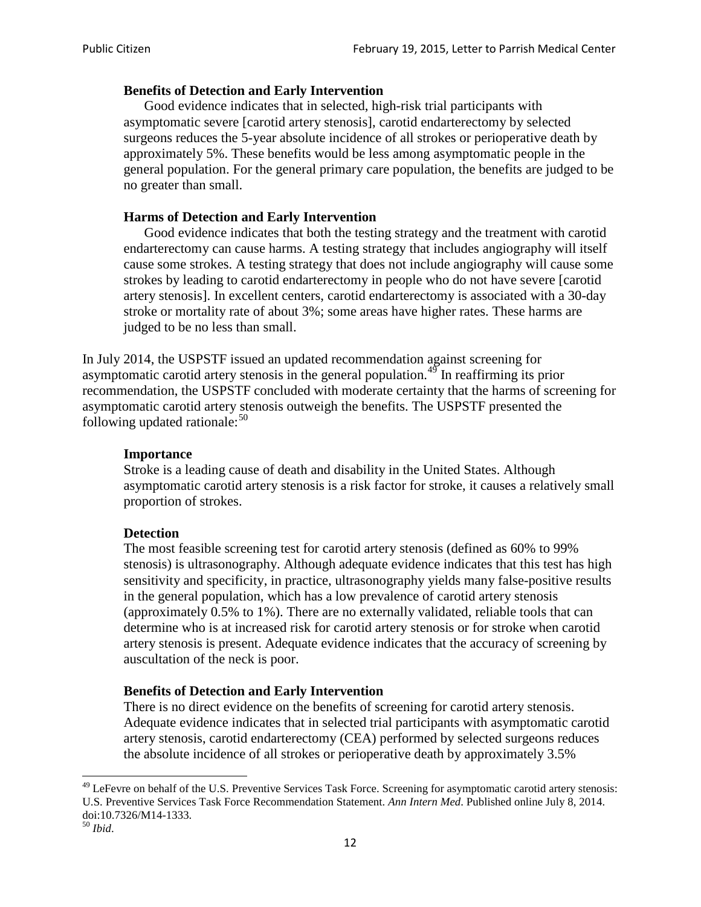### **Benefits of Detection and Early Intervention**

Good evidence indicates that in selected, high-risk trial participants with asymptomatic severe [carotid artery stenosis], carotid endarterectomy by selected surgeons reduces the 5-year absolute incidence of all strokes or perioperative death by approximately 5%. These benefits would be less among asymptomatic people in the general population. For the general primary care population, the benefits are judged to be no greater than small.

### **Harms of Detection and Early Intervention**

Good evidence indicates that both the testing strategy and the treatment with carotid endarterectomy can cause harms. A testing strategy that includes angiography will itself cause some strokes. A testing strategy that does not include angiography will cause some strokes by leading to carotid endarterectomy in people who do not have severe [carotid artery stenosis]. In excellent centers, carotid endarterectomy is associated with a 30-day stroke or mortality rate of about 3%; some areas have higher rates. These harms are judged to be no less than small.

In July 2014, the USPSTF issued an updated recommendation against screening for asymptomatic carotid artery stenosis in the general population.<sup>[49](#page-11-0)</sup> In reaffirming its prior recommendation, the USPSTF concluded with moderate certainty that the harms of screening for asymptomatic carotid artery stenosis outweigh the benefits. The USPSTF presented the following updated rationale: $50$ 

#### **Importance**

Stroke is a leading cause of death and disability in the United States. Although asymptomatic carotid artery stenosis is a risk factor for stroke, it causes a relatively small proportion of strokes.

#### **Detection**

The most feasible screening test for carotid artery stenosis (defined as 60% to 99% stenosis) is ultrasonography. Although adequate evidence indicates that this test has high sensitivity and specificity, in practice, ultrasonography yields many false-positive results in the general population, which has a low prevalence of carotid artery stenosis (approximately 0.5% to 1%). There are no externally validated, reliable tools that can determine who is at increased risk for carotid artery stenosis or for stroke when carotid artery stenosis is present. Adequate evidence indicates that the accuracy of screening by auscultation of the neck is poor.

#### **Benefits of Detection and Early Intervention**

There is no direct evidence on the benefits of screening for carotid artery stenosis. Adequate evidence indicates that in selected trial participants with asymptomatic carotid artery stenosis, carotid endarterectomy (CEA) performed by selected surgeons reduces the absolute incidence of all strokes or perioperative death by approximately 3.5%

<span id="page-11-0"></span><sup>&</sup>lt;sup>49</sup> LeFevre on behalf of the U.S. Preventive Services Task Force. Screening for asymptomatic carotid artery stenosis: U.S. Preventive Services Task Force Recommendation Statement. *Ann Intern Med*. Published online July 8, 2014. doi:10.7326/M14-1333. <sup>50</sup> *Ibid*.

<span id="page-11-1"></span>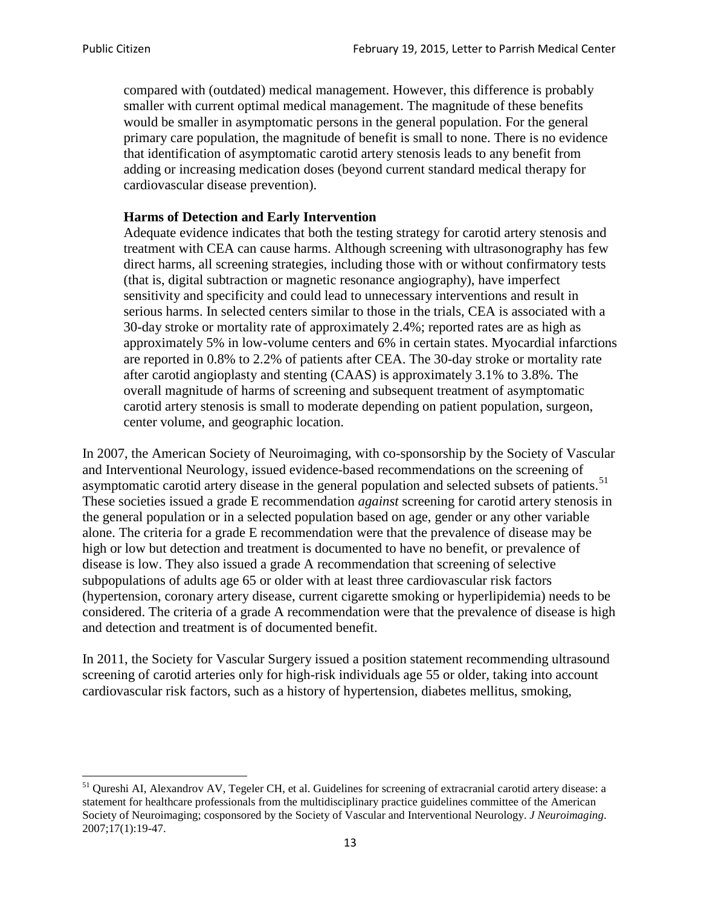compared with (outdated) medical management. However, this difference is probably smaller with current optimal medical management. The magnitude of these benefits would be smaller in asymptomatic persons in the general population. For the general primary care population, the magnitude of benefit is small to none. There is no evidence that identification of asymptomatic carotid artery stenosis leads to any benefit from adding or increasing medication doses (beyond current standard medical therapy for cardiovascular disease prevention).

### **Harms of Detection and Early Intervention**

Adequate evidence indicates that both the testing strategy for carotid artery stenosis and treatment with CEA can cause harms. Although screening with ultrasonography has few direct harms, all screening strategies, including those with or without confirmatory tests (that is, digital subtraction or magnetic resonance angiography), have imperfect sensitivity and specificity and could lead to unnecessary interventions and result in serious harms. In selected centers similar to those in the trials, CEA is associated with a 30-day stroke or mortality rate of approximately 2.4%; reported rates are as high as approximately 5% in low-volume centers and 6% in certain states. Myocardial infarctions are reported in 0.8% to 2.2% of patients after CEA. The 30-day stroke or mortality rate after carotid angioplasty and stenting (CAAS) is approximately 3.1% to 3.8%. The overall magnitude of harms of screening and subsequent treatment of asymptomatic carotid artery stenosis is small to moderate depending on patient population, surgeon, center volume, and geographic location.

In 2007, the American Society of Neuroimaging, with co-sponsorship by the Society of Vascular and Interventional Neurology, issued evidence-based recommendations on the screening of asymptomatic carotid artery disease in the general population and selected subsets of patients.<sup>[51](#page-12-0)</sup> These societies issued a grade E recommendation *against* screening for carotid artery stenosis in the general population or in a selected population based on age, gender or any other variable alone. The criteria for a grade E recommendation were that the prevalence of disease may be high or low but detection and treatment is documented to have no benefit, or prevalence of disease is low. They also issued a grade A recommendation that screening of selective subpopulations of adults age 65 or older with at least three cardiovascular risk factors (hypertension, coronary artery disease, current cigarette smoking or hyperlipidemia) needs to be considered. The criteria of a grade A recommendation were that the prevalence of disease is high and detection and treatment is of documented benefit.

In 2011, the Society for Vascular Surgery issued a position statement recommending ultrasound screening of carotid arteries only for high-risk individuals age 55 or older, taking into account cardiovascular risk factors, such as a history of hypertension, diabetes mellitus, smoking,

<span id="page-12-0"></span><sup>&</sup>lt;sup>51</sup> Qureshi AI, Alexandrov AV, Tegeler CH, et al. Guidelines for screening of extracranial carotid artery disease: a statement for healthcare professionals from the multidisciplinary practice guidelines committee of the American Society of Neuroimaging; cosponsored by the Society of Vascular and Interventional Neurology. *J Neuroimaging*. 2007;17(1):19-47.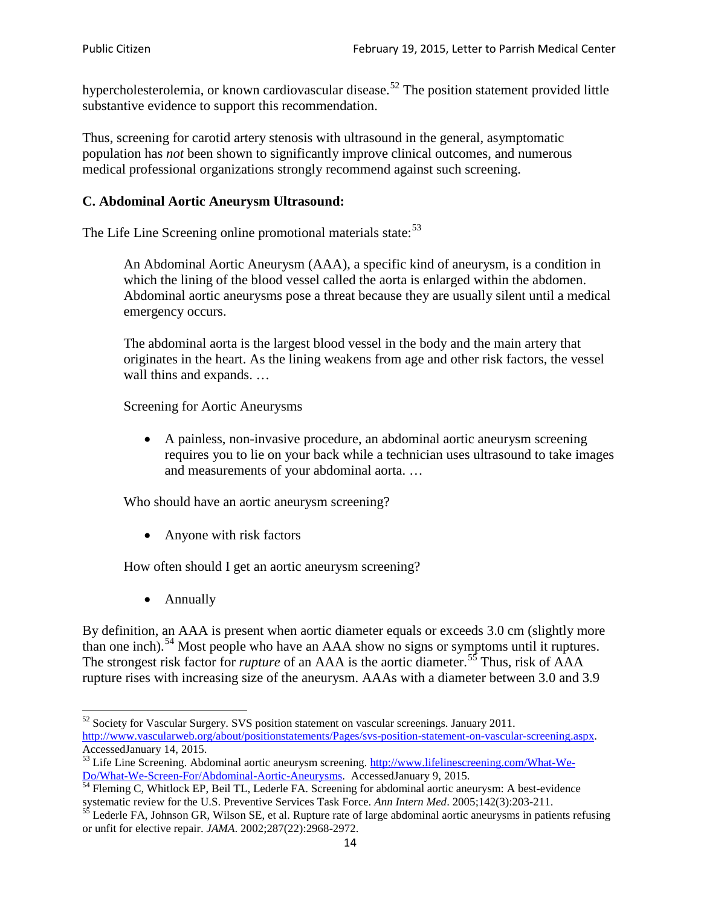hypercholesterolemia, or known cardiovascular disease.<sup>[52](#page-13-0)</sup> The position statement provided little substantive evidence to support this recommendation.

Thus, screening for carotid artery stenosis with ultrasound in the general, asymptomatic population has *not* been shown to significantly improve clinical outcomes, and numerous medical professional organizations strongly recommend against such screening.

### **C. Abdominal Aortic Aneurysm Ultrasound:**

The Life Line Screening online promotional materials state:<sup>[53](#page-13-1)</sup>

An Abdominal Aortic Aneurysm (AAA), a specific kind of aneurysm, is a condition in which the lining of the blood vessel called the aorta is enlarged within the abdomen. Abdominal aortic aneurysms pose a threat because they are usually silent until a medical emergency occurs.

The abdominal aorta is the largest blood vessel in the body and the main artery that originates in the heart. As the lining weakens from age and other risk factors, the vessel wall thins and expands. …

Screening for Aortic Aneurysms

• A painless, non-invasive procedure, an abdominal aortic aneurysm screening requires you to lie on your back while a technician uses ultrasound to take images and measurements of your abdominal aorta. …

Who should have an aortic aneurysm screening?

• Anyone with risk factors

How often should I get an aortic aneurysm screening?

• Annually

By definition, an AAA is present when aortic diameter equals or exceeds 3.0 cm (slightly more than one inch).<sup>[54](#page-13-2)</sup> Most people who have an AAA show no signs or symptoms until it ruptures. The strongest risk factor for *rupture* of an AAA is the aortic diameter.<sup>[55](#page-13-3)</sup> Thus, risk of AAA rupture rises with increasing size of the aneurysm. AAAs with a diameter between 3.0 and 3.9

<span id="page-13-0"></span><sup>&</sup>lt;sup>52</sup> Society for Vascular Surgery. SVS position statement on vascular screenings. January 2011. http://www.vascularweb.org/about/positionstatements/Pages/svs-position-statement-on-vascular-screening.aspx.<br>Accessed January 14, 2015.

<span id="page-13-1"></span>Accessed January 14, 2015.<br>
Sa Life Line Screening. Abdominal aortic aneurysm screening. http://www.lifelinescreening.com/What-We-<br>
Do/What-We-Screen-For/Abdominal-Aortic-Aneurysms. Accessed January 9, 2015.

<span id="page-13-2"></span> $\frac{54}{9}$  Fleming C, Whitlock EP, Beil TL, Lederle FA. Screening for abdominal aortic aneurysm: A best-evidence systematic review for the U.S. Preventive Services Task Force. *Ann Intern Med.* 2005;142(3):203-211.<br><sup>55</sup> Lederle FA, Johnson GR, Wilson SE, et al. Rupture rate of large abdominal aortic aneurysms in patients refusing

<span id="page-13-3"></span>or unfit for elective repair. *JAMA*. 2002;287(22):2968-2972.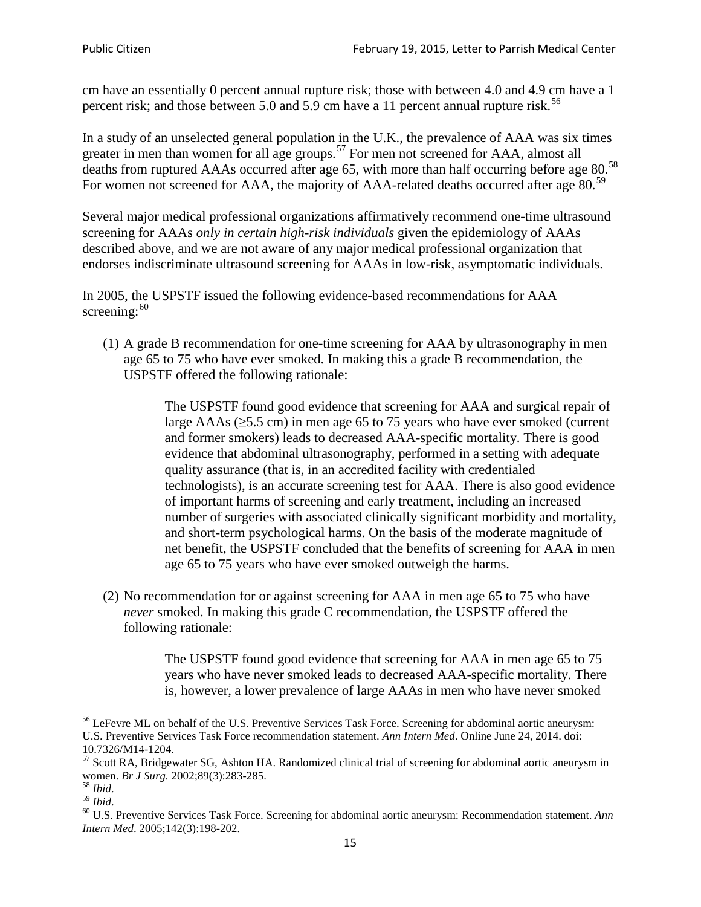cm have an essentially 0 percent annual rupture risk; those with between 4.0 and 4.9 cm have a 1 percent risk; and those between 5.0 and 5.9 cm have a 11 percent annual rupture risk.<sup>[56](#page-14-0)</sup>

In a study of an unselected general population in the U.K., the prevalence of AAA was six times greater in men than women for all age groups.<sup>[57](#page-14-1)</sup> For men not screened for  $AAA$ , almost all deaths from ruptured AAAs occurred after age 65, with more than half occurring before age 80.<sup>[58](#page-14-2)</sup> For women not screened for AAA, the majority of AAA-related deaths occurred after age 80.<sup>[59](#page-14-3)</sup>

Several major medical professional organizations affirmatively recommend one-time ultrasound screening for AAAs *only in certain high-risk individuals* given the epidemiology of AAAs described above, and we are not aware of any major medical professional organization that endorses indiscriminate ultrasound screening for AAAs in low-risk, asymptomatic individuals.

In 2005, the USPSTF issued the following evidence-based recommendations for AAA screening: $60$ 

(1) A grade B recommendation for one-time screening for AAA by ultrasonography in men age 65 to 75 who have ever smoked. In making this a grade [B recommendation,](http://www.uspreventiveservicestaskforce.org/uspstf/gradespre.htm#brec) the USPSTF offered the following rationale:

> The USPSTF found good evidence that screening for AAA and surgical repair of large AAAs ( $\geq$ 5.5 cm) in men age 65 to 75 years who have ever smoked (current and former smokers) leads to decreased AAA-specific mortality. There is good evidence that abdominal ultrasonography, performed in a setting with adequate quality assurance (that is, in an accredited facility with credentialed technologists), is an accurate screening test for AAA. There is also good evidence of important harms of screening and early treatment, including an increased number of surgeries with associated clinically significant morbidity and mortality, and short-term psychological harms. On the basis of the moderate magnitude of net benefit, the USPSTF concluded that the benefits of screening for AAA in men age 65 to 75 years who have ever smoked outweigh the harms.

(2) No recommendation for or against screening for AAA in men age 65 to 75 who have *never* smoked. In making this grade C recommendation, the USPSTF offered the following rationale:

> The USPSTF found good evidence that screening for AAA in men age 65 to 75 years who have never smoked leads to decreased AAA-specific mortality. There is, however, a lower prevalence of large AAAs in men who have never smoked

<span id="page-14-0"></span><sup>&</sup>lt;sup>56</sup> LeFevre ML on behalf of the U.S. Preventive Services Task Force. Screening for abdominal aortic aneurysm: U.S. Preventive Services Task Force recommendation statement. *Ann Intern Med*. Online June 24, 2014. doi:

<span id="page-14-1"></span><sup>10.7326/</sup>M14-1204.<br> $57$  Scott RA, Bridgewater SG, Ashton HA. Randomized clinical trial of screening for abdominal aortic aneurysm in women. *Br J Surg.* 2002;89(3):283-285.

<span id="page-14-4"></span><span id="page-14-3"></span>

<span id="page-14-2"></span><sup>&</sup>lt;sup>58</sup> *Ibid.*<br><sup>59</sup> *Ibid. Comen. Breeft Bervices Task Force. Screening for abdominal aortic aneurysm: Recommendation statement. <i>Ann* <sup>60</sup> U.S. Preventive Services Task Force. Screening for abdominal aortic aneurysm: Re *Intern Med*. 2005;142(3):198-202.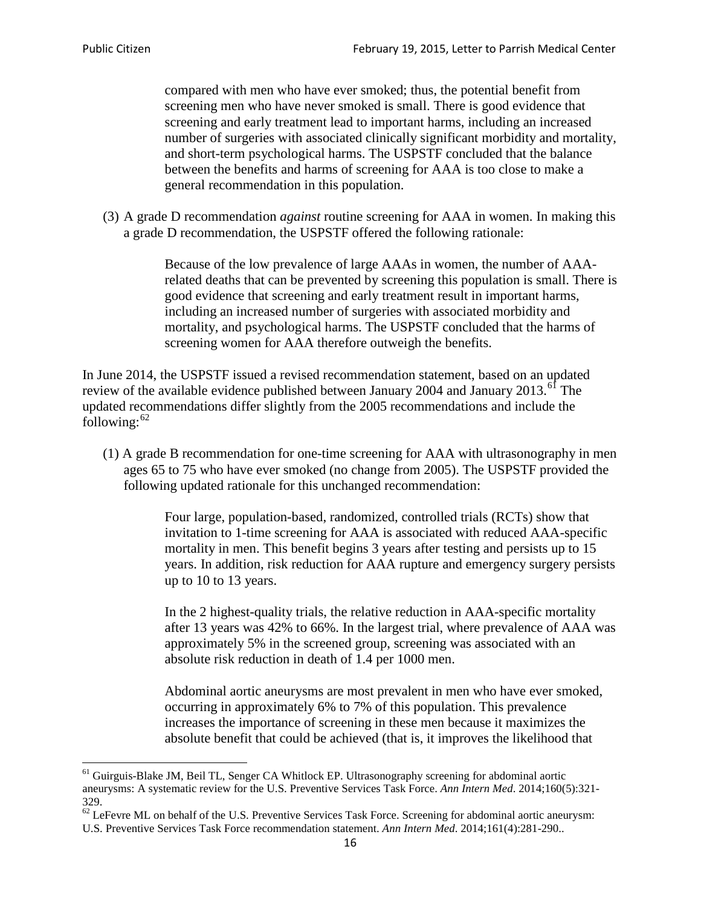compared with men who have ever smoked; thus, the potential benefit from screening men who have never smoked is small. There is good evidence that screening and early treatment lead to important harms, including an increased number of surgeries with associated clinically significant morbidity and mortality, and short-term psychological harms. The USPSTF concluded that the balance between the benefits and harms of screening for AAA is too close to make a general recommendation in this population.

(3) A grade D recommendation *against* routine screening for AAA in women. In making this a grade D recommendation, the USPSTF offered the following rationale:

> Because of the low prevalence of large AAAs in women, the number of AAArelated deaths that can be prevented by screening this population is small. There is good evidence that screening and early treatment result in important harms, including an increased number of surgeries with associated morbidity and mortality, and psychological harms. The USPSTF concluded that the harms of screening women for AAA therefore outweigh the benefits.

In June 2014, the USPSTF issued a revised recommendation statement, based on an updated review of the available evidence published between January 2004 and January 2013.<sup>[61](#page-15-0)</sup> The updated recommendations differ slightly from the 2005 recommendations and include the following: $62$ 

(1) A grade B recommendation for one-time screening for AAA with ultrasonography in men ages 65 to 75 who have ever smoked (no change from 2005). The USPSTF provided the following updated rationale for this unchanged recommendation:

> Four large, population-based, randomized, controlled trials (RCTs) show that invitation to 1-time screening for AAA is associated with reduced AAA-specific mortality in men. This benefit begins 3 years after testing and persists up to 15 years. In addition, risk reduction for AAA rupture and emergency surgery persists up to 10 to 13 years.

> In the 2 highest-quality trials, the relative reduction in AAA-specific mortality after 13 years was 42% to 66%. In the largest trial, where prevalence of AAA was approximately 5% in the screened group, screening was associated with an absolute risk reduction in death of 1.4 per 1000 men.

Abdominal aortic aneurysms are most prevalent in men who have ever smoked, occurring in approximately 6% to 7% of this population. This prevalence increases the importance of screening in these men because it maximizes the absolute benefit that could be achieved (that is, it improves the likelihood that

<span id="page-15-0"></span><sup>61</sup> Guirguis-Blake JM, Beil TL, Senger CA Whitlock EP. Ultrasonography screening for abdominal aortic aneurysms: A systematic review for the U.S. Preventive Services Task Force. *Ann Intern Med*. 2014;160(5):321- 329.

<span id="page-15-1"></span> $62$  LeFevre ML on behalf of the U.S. Preventive Services Task Force. Screening for abdominal aortic aneurysm: U.S. Preventive Services Task Force recommendation statement. *Ann Intern Med*. 2014;161(4):281-290..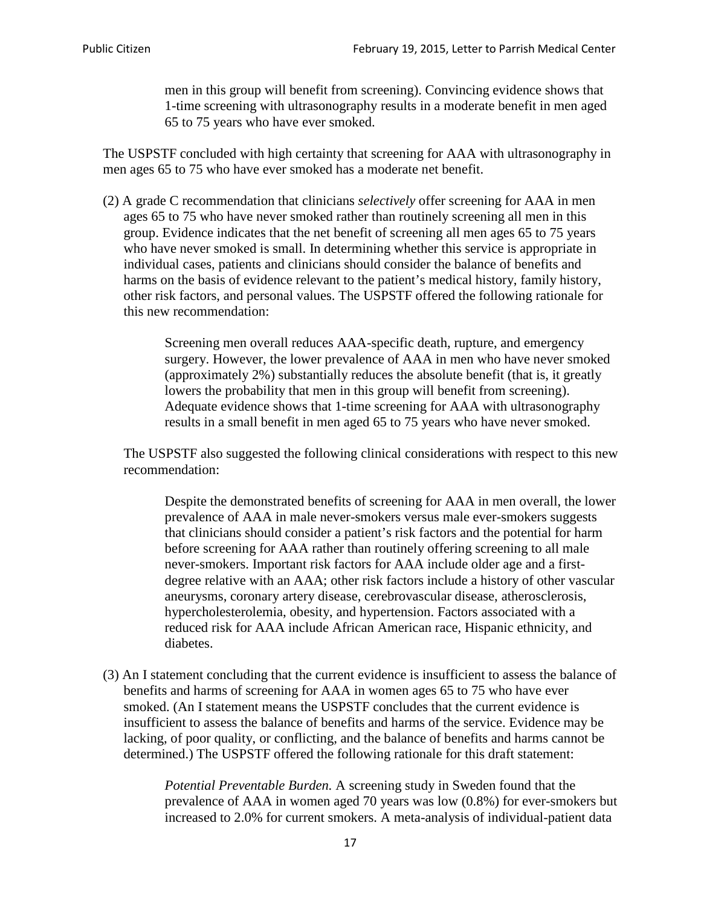men in this group will benefit from screening). Convincing evidence shows that 1-time screening with ultrasonography results in a moderate benefit in men aged 65 to 75 years who have ever smoked.

The USPSTF concluded with high certainty that screening for AAA with ultrasonography in men ages 65 to 75 who have ever smoked has a moderate net benefit.

(2) A grade C recommendation that clinicians *selectively* offer screening for AAA in men ages 65 to 75 who have never smoked rather than routinely screening all men in this group. Evidence indicates that the net benefit of screening all men ages 65 to 75 years who have never smoked is small. In determining whether this service is appropriate in individual cases, patients and clinicians should consider the balance of benefits and harms on the basis of evidence relevant to the patient's medical history, family history, other risk factors, and personal values. The USPSTF offered the following rationale for this new recommendation:

> Screening men overall reduces AAA-specific death, rupture, and emergency surgery. However, the lower prevalence of AAA in men who have never smoked (approximately 2%) substantially reduces the absolute benefit (that is, it greatly lowers the probability that men in this group will benefit from screening). Adequate evidence shows that 1-time screening for AAA with ultrasonography results in a small benefit in men aged 65 to 75 years who have never smoked.

The USPSTF also suggested the following clinical considerations with respect to this new recommendation:

Despite the demonstrated benefits of screening for AAA in men overall, the lower prevalence of AAA in male never-smokers versus male ever-smokers suggests that clinicians should consider a patient's risk factors and the potential for harm before screening for AAA rather than routinely offering screening to all male never-smokers. Important risk factors for AAA include older age and a firstdegree relative with an AAA; other risk factors include a history of other vascular aneurysms, coronary artery disease, cerebrovascular disease, atherosclerosis, hypercholesterolemia, obesity, and hypertension. Factors associated with a reduced risk for AAA include African American race, Hispanic ethnicity, and diabetes.

(3) An I statement concluding that the current evidence is insufficient to assess the balance of benefits and harms of screening for AAA in women ages 65 to 75 who have ever smoked. (An I statement means the USPSTF concludes that the current evidence is insufficient to assess the balance of benefits and harms of the service. Evidence may be lacking, of poor quality, or conflicting, and the balance of benefits and harms cannot be determined.) The USPSTF offered the following rationale for this draft statement:

> *Potential Preventable Burden.* A screening study in Sweden found that the prevalence of AAA in women aged 70 years was low (0.8%) for ever-smokers but increased to 2.0% for current smokers. A meta-analysis of individual-patient data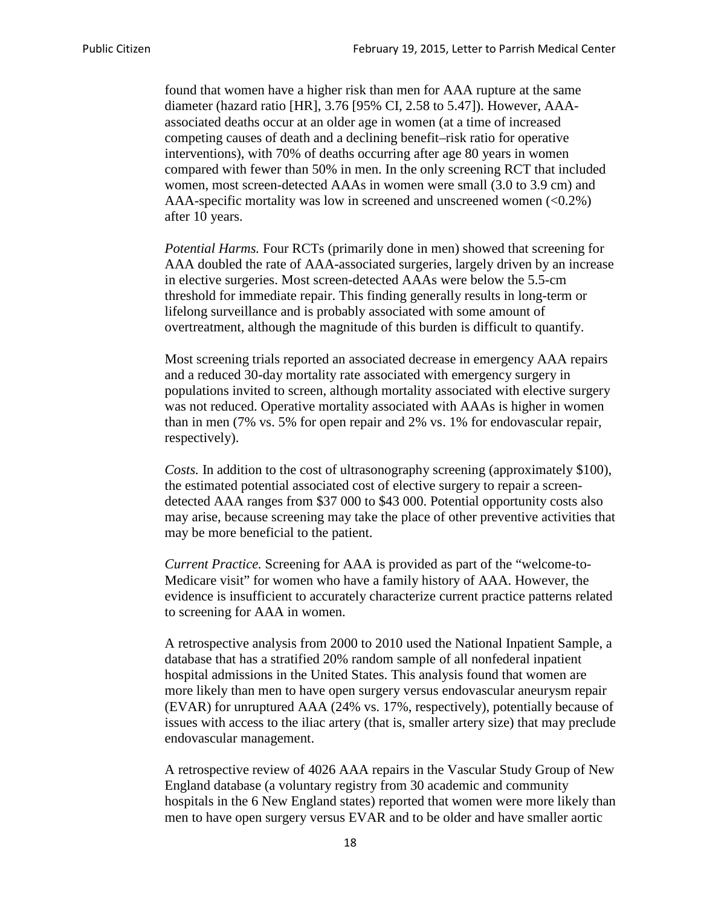found that women have a higher risk than men for AAA rupture at the same diameter (hazard ratio [HR], 3.76 [95% CI, 2.58 to 5.47]). However, AAAassociated deaths occur at an older age in women (at a time of increased competing causes of death and a declining benefit–risk ratio for operative interventions), with 70% of deaths occurring after age 80 years in women compared with fewer than 50% in men. In the only screening RCT that included women, most screen-detected AAAs in women were small (3.0 to 3.9 cm) and AAA-specific mortality was low in screened and unscreened women  $(<0.2\%)$ after 10 years.

*Potential Harms.* Four RCTs (primarily done in men) showed that screening for AAA doubled the rate of AAA-associated surgeries, largely driven by an increase in elective surgeries. Most screen-detected AAAs were below the 5.5-cm threshold for immediate repair. This finding generally results in long-term or lifelong surveillance and is probably associated with some amount of overtreatment, although the magnitude of this burden is difficult to quantify.

Most screening trials reported an associated decrease in emergency AAA repairs and a reduced 30-day mortality rate associated with emergency surgery in populations invited to screen, although mortality associated with elective surgery was not reduced. Operative mortality associated with AAAs is higher in women than in men (7% vs. 5% for open repair and 2% vs. 1% for endovascular repair, respectively).

*Costs.* In addition to the cost of ultrasonography screening (approximately \$100), the estimated potential associated cost of elective surgery to repair a screendetected AAA ranges from \$37 000 to \$43 000. Potential opportunity costs also may arise, because screening may take the place of other preventive activities that may be more beneficial to the patient.

*Current Practice.* Screening for AAA is provided as part of the "welcome-to-Medicare visit" for women who have a family history of AAA. However, the evidence is insufficient to accurately characterize current practice patterns related to screening for AAA in women.

A retrospective analysis from 2000 to 2010 used the National Inpatient Sample, a database that has a stratified 20% random sample of all nonfederal inpatient hospital admissions in the United States. This analysis found that women are more likely than men to have open surgery versus endovascular aneurysm repair (EVAR) for unruptured AAA (24% vs. 17%, respectively), potentially because of issues with access to the iliac artery (that is, smaller artery size) that may preclude endovascular management.

A retrospective review of 4026 AAA repairs in the Vascular Study Group of New England database (a voluntary registry from 30 academic and community hospitals in the 6 New England states) reported that women were more likely than men to have open surgery versus EVAR and to be older and have smaller aortic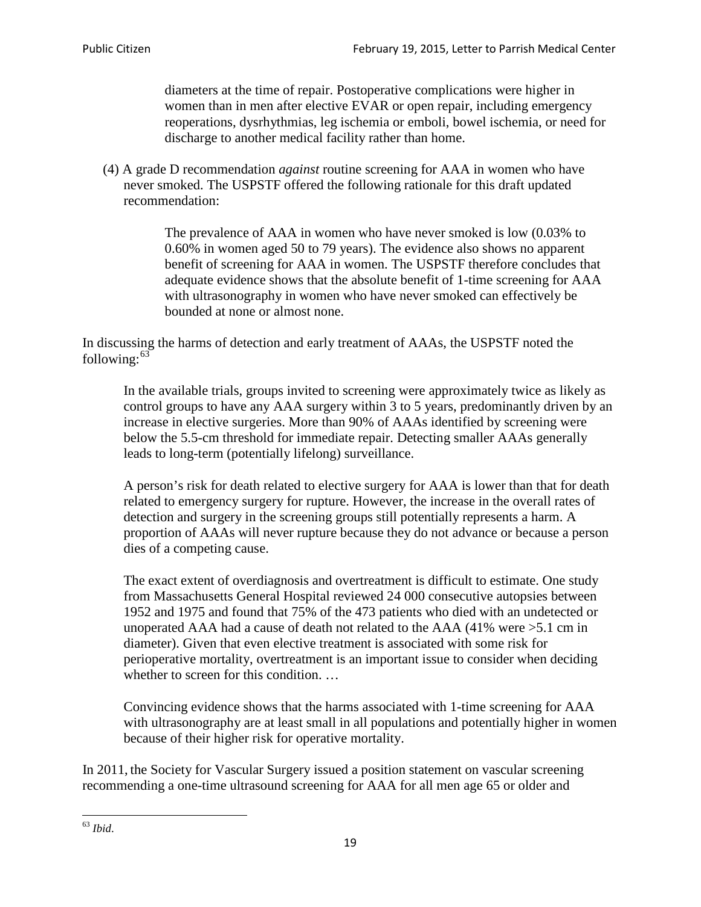diameters at the time of repair. Postoperative complications were higher in women than in men after elective EVAR or open repair, including emergency reoperations, dysrhythmias, leg ischemia or emboli, bowel ischemia, or need for discharge to another medical facility rather than home.

(4) A grade D recommendation *against* routine screening for AAA in women who have never smoked. The USPSTF offered the following rationale for this draft updated recommendation:

> The prevalence of AAA in women who have never smoked is low (0.03% to 0.60% in women aged 50 to 79 years). The evidence also shows no apparent benefit of screening for AAA in women. The USPSTF therefore concludes that adequate evidence shows that the absolute benefit of 1-time screening for AAA with ultrasonography in women who have never smoked can effectively be bounded at none or almost none.

In discussing the harms of detection and early treatment of AAAs, the USPSTF noted the following: $63$ 

In the available trials, groups invited to screening were approximately twice as likely as control groups to have any AAA surgery within 3 to 5 years, predominantly driven by an increase in elective surgeries. More than 90% of AAAs identified by screening were below the 5.5-cm threshold for immediate repair. Detecting smaller AAAs generally leads to long-term (potentially lifelong) surveillance.

A person's risk for death related to elective surgery for AAA is lower than that for death related to emergency surgery for rupture. However, the increase in the overall rates of detection and surgery in the screening groups still potentially represents a harm. A proportion of AAAs will never rupture because they do not advance or because a person dies of a competing cause.

The exact extent of overdiagnosis and overtreatment is difficult to estimate. One study from Massachusetts General Hospital reviewed 24 000 consecutive autopsies between 1952 and 1975 and found that 75% of the 473 patients who died with an undetected or unoperated AAA had a cause of death not related to the AAA (41% were >5.1 cm in diameter). Given that even elective treatment is associated with some risk for perioperative mortality, overtreatment is an important issue to consider when deciding whether to screen for this condition....

Convincing evidence shows that the harms associated with 1-time screening for AAA with ultrasonography are at least small in all populations and potentially higher in women because of their higher risk for operative mortality.

In 2011, the Society for Vascular Surgery issued a position statement on vascular screening recommending a one-time ultrasound screening for AAA for all men age 65 or older and

<span id="page-18-0"></span><sup>63</sup> *Ibid*.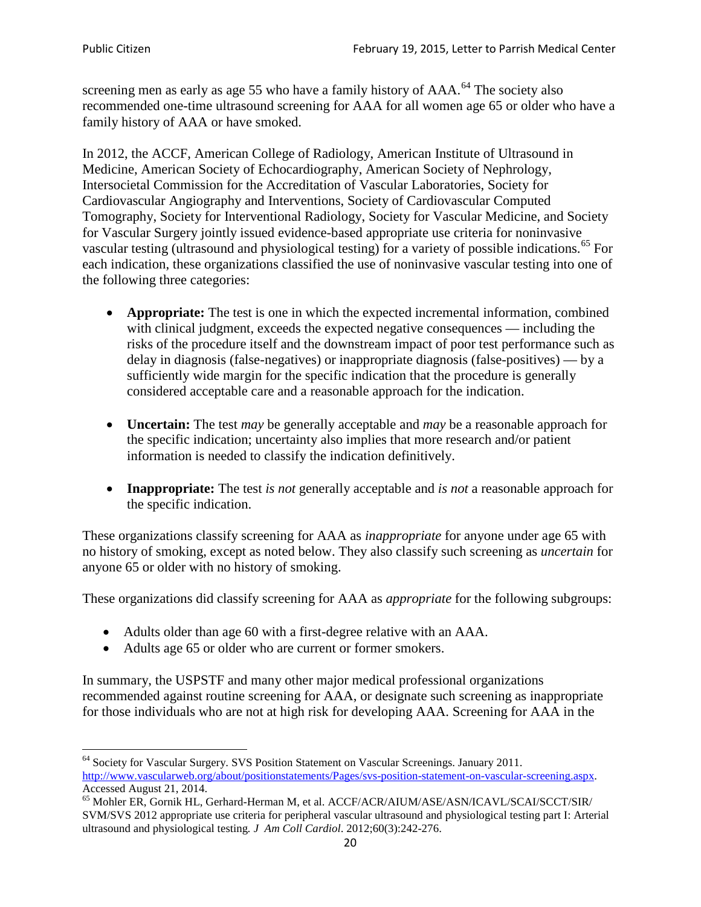screening men as early as age 55 who have a family history of AAA.<sup>[64](#page-19-0)</sup> The society also recommended one-time ultrasound screening for AAA for all women age 65 or older who have a family history of AAA or have smoked.

In 2012, the ACCF, American College of Radiology, American Institute of Ultrasound in Medicine, American Society of Echocardiography, American Society of Nephrology, Intersocietal Commission for the Accreditation of Vascular Laboratories, Society for Cardiovascular Angiography and Interventions, Society of Cardiovascular Computed Tomography, Society for Interventional Radiology, Society for Vascular Medicine, and Society for Vascular Surgery jointly issued evidence-based appropriate use criteria for noninvasive vascular testing (ultrasound and physiological testing) for a variety of possible indications.<sup>[65](#page-19-1)</sup> For each indication, these organizations classified the use of noninvasive vascular testing into one of the following three categories:

- **Appropriate:** The test is one in which the expected incremental information, combined with clinical judgment, exceeds the expected negative consequences — including the risks of the procedure itself and the downstream impact of poor test performance such as delay in diagnosis (false-negatives) or inappropriate diagnosis (false-positives) — by a sufficiently wide margin for the specific indication that the procedure is generally considered acceptable care and a reasonable approach for the indication.
- **Uncertain:** The test *may* be generally acceptable and *may* be a reasonable approach for the specific indication; uncertainty also implies that more research and/or patient information is needed to classify the indication definitively.
- **Inappropriate:** The test *is not* generally acceptable and *is not* a reasonable approach for the specific indication.

These organizations classify screening for AAA as *inappropriate* for anyone under age 65 with no history of smoking, except as noted below. They also classify such screening as *uncertain* for anyone 65 or older with no history of smoking.

These organizations did classify screening for AAA as *appropriate* for the following subgroups:

- Adults older than age 60 with a first-degree relative with an AAA.
- Adults age 65 or older who are current or former smokers.

In summary, the USPSTF and many other major medical professional organizations recommended against routine screening for AAA, or designate such screening as inappropriate for those individuals who are not at high risk for developing AAA. Screening for AAA in the

<span id="page-19-0"></span><sup>64</sup> Society for Vascular Surgery. SVS Position Statement on Vascular Screenings. January 2011. [http://www.vascularweb.org/about/positionstatements/Pages/svs-position-statement-on-vascular-screening.aspx.](http://www.vascularweb.org/about/positionstatements/Pages/svs-position-statement-on-vascular-screening.aspx) 

<span id="page-19-1"></span>Accessed August 21, 2014.<br><sup>65</sup> Mohler ER, Gornik HL, Gerhard-Herman M, et al. ACCF/ACR/AIUM/ASE/ASN/ICAVL/SCAI/SCCT/SIR/ SVM/SVS 2012 appropriate use criteria for peripheral vascular ultrasound and physiological testing part I: Arterial ultrasound and physiological testing*. J Am Coll Cardiol*. 2012;60(3):242-276.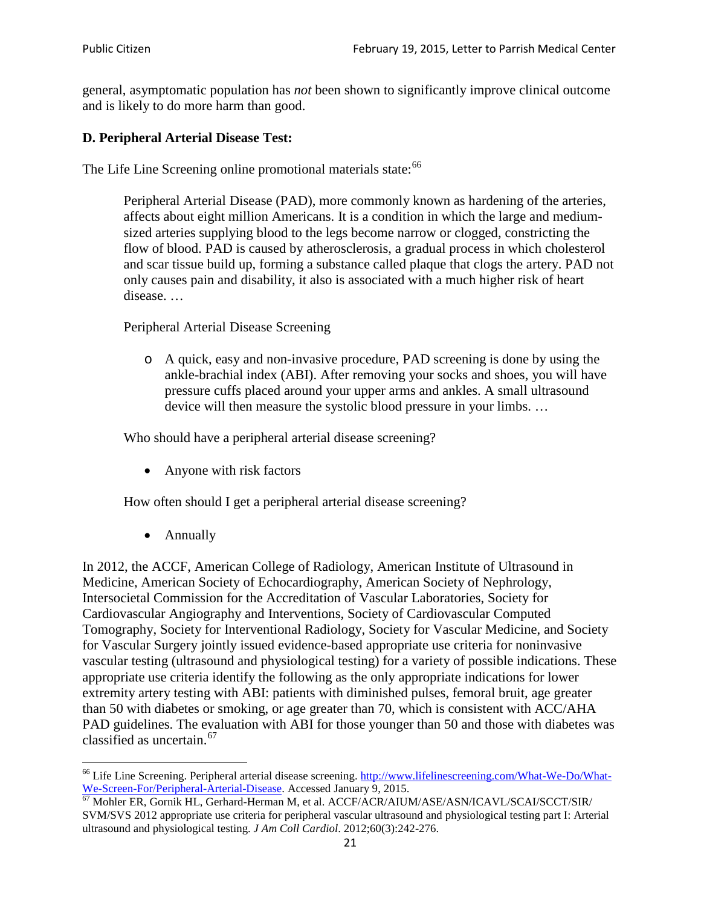general, asymptomatic population has *not* been shown to significantly improve clinical outcome and is likely to do more harm than good.

## **D. Peripheral Arterial Disease Test:**

The Life Line Screening online promotional materials state:<sup>[66](#page-20-0)</sup>

Peripheral Arterial Disease (PAD), more commonly known as hardening of the arteries, affects about eight million Americans. It is a condition in which the large and mediumsized arteries supplying blood to the legs become narrow or clogged, constricting the flow of blood. PAD is caused by atherosclerosis, a gradual process in which cholesterol and scar tissue build up, forming a substance called plaque that clogs the artery. PAD not only causes pain and disability, it also is associated with a much higher risk of heart disease. …

Peripheral Arterial Disease Screening

o A quick, easy and non-invasive procedure, PAD screening is done by using the ankle-brachial index (ABI). After removing your socks and shoes, you will have pressure cuffs placed around your upper arms and ankles. A small ultrasound device will then measure the systolic blood pressure in your limbs. …

Who should have a peripheral arterial disease screening?

• Anyone with risk factors

How often should I get a peripheral arterial disease screening?

• Annually

In 2012, the ACCF, American College of Radiology, American Institute of Ultrasound in Medicine, American Society of Echocardiography, American Society of Nephrology, Intersocietal Commission for the Accreditation of Vascular Laboratories, Society for Cardiovascular Angiography and Interventions, Society of Cardiovascular Computed Tomography, Society for Interventional Radiology, Society for Vascular Medicine, and Society for Vascular Surgery jointly issued evidence-based appropriate use criteria for noninvasive vascular testing (ultrasound and physiological testing) for a variety of possible indications. These appropriate use criteria identify the following as the only appropriate indications for lower extremity artery testing with ABI: patients with diminished pulses, femoral bruit, age greater than 50 with diabetes or smoking, or age greater than 70, which is consistent with ACC/AHA PAD guidelines. The evaluation with ABI for those younger than 50 and those with diabetes was classified as uncertain.<sup>[67](#page-20-1)</sup>

<span id="page-20-0"></span><sup>&</sup>lt;sup>66</sup> Life Line Screening. Peripheral arterial disease screening. [http://www.lifelinescreening.com/What-We-Do/What-](http://www.lifelinescreening.com/What-We-Do/What-We-Screen-For/Peripheral-Arterial-Disease)[We-Screen-For/Peripheral-Arterial-Disease.](http://www.lifelinescreening.com/What-We-Do/What-We-Screen-For/Peripheral-Arterial-Disease) Accessed January 9, 2015.<br><sup>67</sup> Mohler ER, Gornik HL, Gerhard-Herman M, et al. ACCF/ACR/AIUM/ASE/ASN/ICAVL/SCAI/SCCT/SIR/

<span id="page-20-1"></span>SVM/SVS 2012 appropriate use criteria for peripheral vascular ultrasound and physiological testing part I: Arterial ultrasound and physiological testing. *J Am Coll Cardiol*. 2012;60(3):242-276.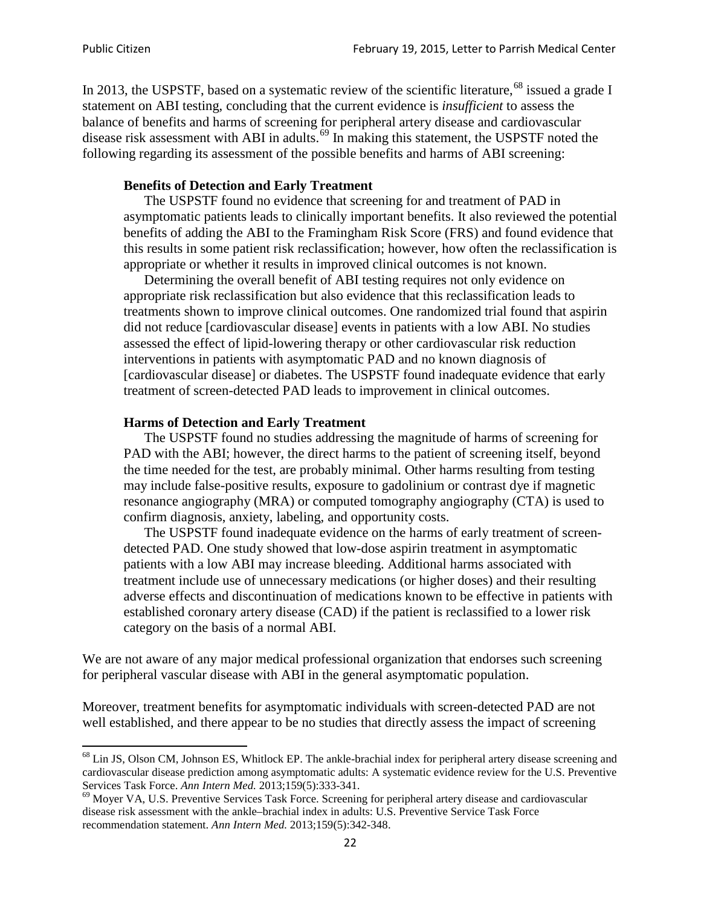In 2013, the USPSTF, based on a systematic review of the scientific literature,<sup>[68](#page-21-0)</sup> issued a grade I statement on ABI testing, concluding that the current evidence is *insufficient* to assess the balance of benefits and harms of screening for peripheral artery disease and cardiovascular disease risk assessment with ABI in adults.<sup>[69](#page-21-1)</sup> In making this statement, the USPSTF noted the following regarding its assessment of the possible benefits and harms of ABI screening:

### **Benefits of Detection and Early Treatment**

The USPSTF found no evidence that screening for and treatment of PAD in asymptomatic patients leads to clinically important benefits. It also reviewed the potential benefits of adding the ABI to the Framingham Risk Score (FRS) and found evidence that this results in some patient risk reclassification; however, how often the reclassification is appropriate or whether it results in improved clinical outcomes is not known.

Determining the overall benefit of ABI testing requires not only evidence on appropriate risk reclassification but also evidence that this reclassification leads to treatments shown to improve clinical outcomes. One randomized trial found that aspirin did not reduce [cardiovascular disease] events in patients with a low ABI. No studies assessed the effect of lipid-lowering therapy or other cardiovascular risk reduction interventions in patients with asymptomatic PAD and no known diagnosis of [cardiovascular disease] or diabetes. The USPSTF found inadequate evidence that early treatment of screen-detected PAD leads to improvement in clinical outcomes.

### **Harms of Detection and Early Treatment**

The USPSTF found no studies addressing the magnitude of harms of screening for PAD with the ABI; however, the direct harms to the patient of screening itself, beyond the time needed for the test, are probably minimal. Other harms resulting from testing may include false-positive results, exposure to gadolinium or contrast dye if magnetic resonance angiography (MRA) or computed tomography angiography (CTA) is used to confirm diagnosis, anxiety, labeling, and opportunity costs.

The USPSTF found inadequate evidence on the harms of early treatment of screendetected PAD. One study showed that low-dose aspirin treatment in asymptomatic patients with a low ABI may increase bleeding. Additional harms associated with treatment include use of unnecessary medications (or higher doses) and their resulting adverse effects and discontinuation of medications known to be effective in patients with established coronary artery disease (CAD) if the patient is reclassified to a lower risk category on the basis of a normal ABI.

We are not aware of any major medical professional organization that endorses such screening for peripheral vascular disease with ABI in the general asymptomatic population.

Moreover, treatment benefits for asymptomatic individuals with screen-detected PAD are not well established, and there appear to be no studies that directly assess the impact of screening

<span id="page-21-0"></span><sup>&</sup>lt;sup>68</sup> Lin JS, Olson CM, Johnson ES, Whitlock EP. The ankle-brachial index for peripheral artery disease screening and cardiovascular disease prediction among asymptomatic adults: A systematic evidence review for the U.S. Preventive Services Task Force. *Ann Intern Med.* 2013;159(5):333-341.<br><sup>69</sup> Moyer VA, U.S. Preventive Services Task Force. Screening for peripheral artery disease and cardiovascular

<span id="page-21-1"></span>disease risk assessment with the ankle–brachial index in adults: U.S. Preventive Service Task Force recommendation statement. *Ann Intern Med.* 2013;159(5):342-348.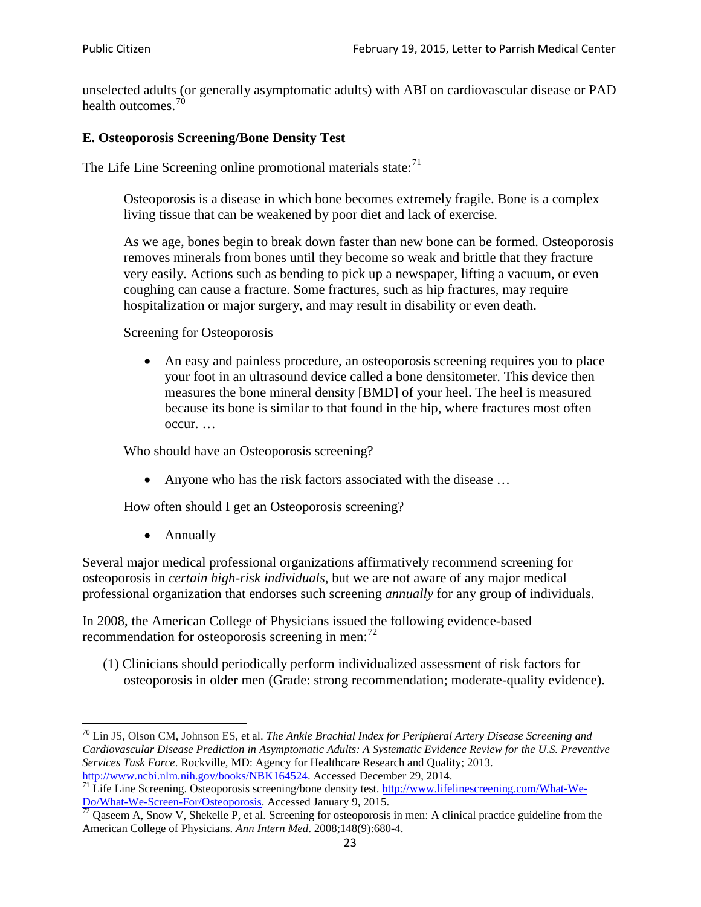unselected adults (or generally asymptomatic adults) with ABI on cardiovascular disease or PAD health outcomes.<sup>[70](#page-22-0)</sup>

## **E. Osteoporosis Screening/Bone Density Test**

The Life Line Screening online promotional materials state: $<sup>71</sup>$  $<sup>71</sup>$  $<sup>71</sup>$ </sup>

Osteoporosis is a disease in which bone becomes extremely fragile. Bone is a complex living tissue that can be weakened by poor diet and lack of exercise.

As we age, bones begin to break down faster than new bone can be formed. Osteoporosis removes minerals from bones until they become so weak and brittle that they fracture very easily. Actions such as bending to pick up a newspaper, lifting a vacuum, or even coughing can cause a fracture. Some fractures, such as hip fractures, may require hospitalization or major surgery, and may result in disability or even death.

Screening for Osteoporosis

• An easy and painless procedure, an osteoporosis screening requires you to place your foot in an ultrasound device called a bone densitometer. This device then measures the bone mineral density [BMD] of your heel. The heel is measured because its bone is similar to that found in the hip, where fractures most often occur. …

Who should have an Osteoporosis screening?

• Anyone who has the risk factors associated with the disease ...

How often should I get an Osteoporosis screening?

• Annually

Several major medical professional organizations affirmatively recommend screening for osteoporosis in *certain high-risk individuals*, but we are not aware of any major medical professional organization that endorses such screening *annually* for any group of individuals.

In 2008, the American College of Physicians issued the following evidence-based recommendation for osteoporosis screening in men: $^{72}$  $^{72}$  $^{72}$ 

(1) Clinicians should periodically perform individualized assessment of risk factors for osteoporosis in older men (Grade: strong recommendation; moderate-quality evidence).

<span id="page-22-0"></span><sup>70</sup> [Lin JS,](http://www.ncbi.nlm.nih.gov/pubmed?term=Lin%20JS%5BAuthor%5D&cauthor=true&cauthor_uid=24156115) [Olson CM,](http://www.ncbi.nlm.nih.gov/pubmed?term=Olson%20CM%5BAuthor%5D&cauthor=true&cauthor_uid=24156115) [Johnson ES,](http://www.ncbi.nlm.nih.gov/pubmed?term=Johnson%20ES%5BAuthor%5D&cauthor=true&cauthor_uid=24156115) et al. *The Ankle Brachial Index for Peripheral Artery Disease Screening and Cardiovascular Disease Prediction in Asymptomatic Adults: A Systematic Evidence Review for the U.S. Preventive Services Task Force*. Rockville, MD: Agency for Healthcare Research and Quality; 2013.<br>http://www.ncbi.nlm.nih.gov/books/NBK164524. Accessed December 29, 2014.

<span id="page-22-1"></span> $\frac{1}{71}$  Life Line Screening. Osteoporosis screening/bone density test. [http://www.lifelinescreening.com/What-We-](http://www.lifelinescreening.com/What-We-Do/What-We-Screen-For/Osteoporosis) $\underline{Do/What-We-Screen-For/Osteoporosis}$ . Accessed January 9, 2015.<br><sup>72</sup> Qaseem A, Snow V, Shekelle P, et al. Screening for osteoporosis in men: A clinical practice guideline from the

<span id="page-22-2"></span>American College of Physicians. *Ann Intern Med*. 2008;148(9):680-4.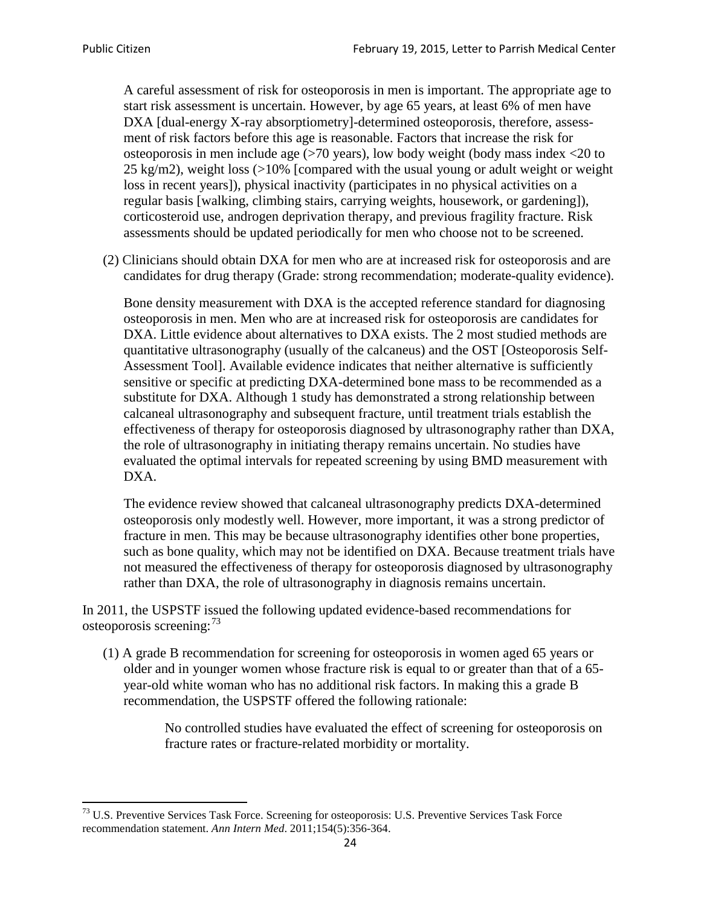A careful assessment of risk for osteoporosis in men is important. The appropriate age to start risk assessment is uncertain. However, by age 65 years, at least 6% of men have DXA [dual-energy X-ray absorptiometry]-determined osteoporosis, therefore, assessment of risk factors before this age is reasonable. Factors that increase the risk for osteoporosis in men include age (>70 years), low body weight (body mass index <20 to 25 kg/m2), weight loss  $\langle$  >10% [compared with the usual young or adult weight or weight loss in recent years]), physical inactivity (participates in no physical activities on a regular basis [walking, climbing stairs, carrying weights, housework, or gardening]), corticosteroid use, androgen deprivation therapy, and previous fragility fracture. Risk assessments should be updated periodically for men who choose not to be screened.

(2) Clinicians should obtain DXA for men who are at increased risk for osteoporosis and are candidates for drug therapy (Grade: strong recommendation; moderate-quality evidence).

Bone density measurement with DXA is the accepted reference standard for diagnosing osteoporosis in men. Men who are at increased risk for osteoporosis are candidates for DXA. Little evidence about alternatives to DXA exists. The 2 most studied methods are quantitative ultrasonography (usually of the calcaneus) and the OST [Osteoporosis Self-Assessment Tool]. Available evidence indicates that neither alternative is sufficiently sensitive or specific at predicting DXA-determined bone mass to be recommended as a substitute for DXA. Although 1 study has demonstrated a strong relationship between calcaneal ultrasonography and subsequent fracture, until treatment trials establish the effectiveness of therapy for osteoporosis diagnosed by ultrasonography rather than DXA, the role of ultrasonography in initiating therapy remains uncertain. No studies have evaluated the optimal intervals for repeated screening by using BMD measurement with DXA.

The evidence review showed that calcaneal ultrasonography predicts DXA-determined osteoporosis only modestly well. However, more important, it was a strong predictor of fracture in men. This may be because ultrasonography identifies other bone properties, such as bone quality, which may not be identified on DXA. Because treatment trials have not measured the effectiveness of therapy for osteoporosis diagnosed by ultrasonography rather than DXA, the role of ultrasonography in diagnosis remains uncertain.

In 2011, the USPSTF issued the following updated evidence-based recommendations for osteoporosis screening:<sup>[73](#page-23-0)</sup>

(1) A grade B recommendation for screening for osteoporosis in women aged 65 years or older and in younger women whose fracture risk is equal to or greater than that of a 65 year-old white woman who has no additional risk factors. In making this a grade B recommendation, the USPSTF offered the following rationale:

> No controlled studies have evaluated the effect of screening for osteoporosis on fracture rates or fracture-related morbidity or mortality.

<span id="page-23-0"></span><sup>&</sup>lt;sup>73</sup> U.S. Preventive Services Task Force. Screening for osteoporosis: U.S. Preventive Services Task Force recommendation statement. *Ann Intern Med*. 2011;154(5):356-364.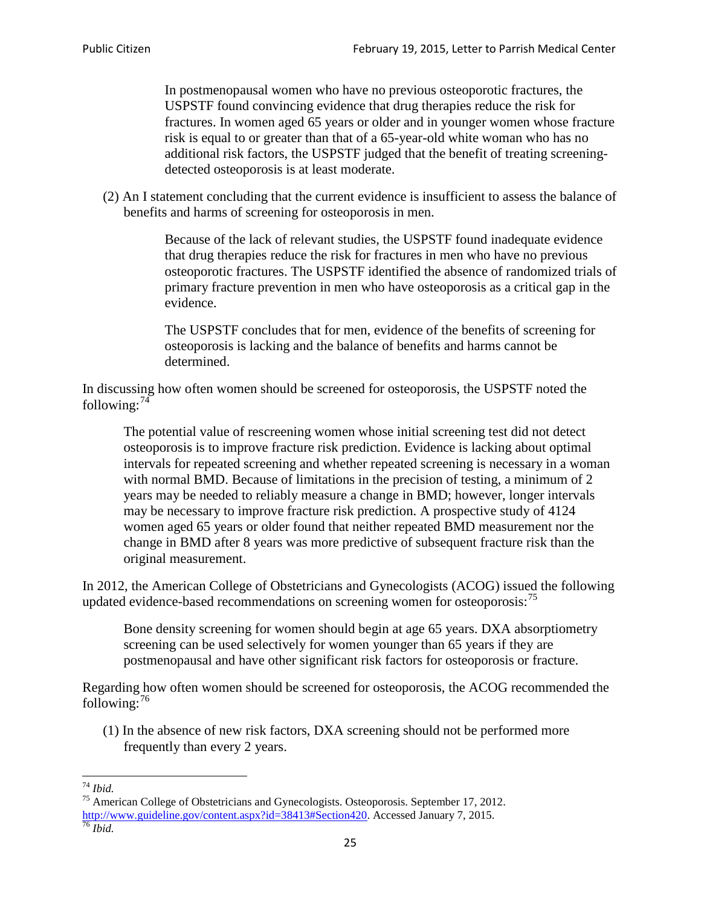In postmenopausal women who have no previous osteoporotic fractures, the USPSTF found convincing evidence that drug therapies reduce the risk for fractures. In women aged 65 years or older and in younger women whose fracture risk is equal to or greater than that of a 65-year-old white woman who has no additional risk factors, the USPSTF judged that the benefit of treating screeningdetected osteoporosis is at least moderate.

(2) An I statement concluding that the current evidence is insufficient to assess the balance of benefits and harms of screening for osteoporosis in men.

> Because of the lack of relevant studies, the USPSTF found inadequate evidence that drug therapies reduce the risk for fractures in men who have no previous osteoporotic fractures. The USPSTF identified the absence of randomized trials of primary fracture prevention in men who have osteoporosis as a critical gap in the evidence.

The USPSTF concludes that for men, evidence of the benefits of screening for osteoporosis is lacking and the balance of benefits and harms cannot be determined.

In discussing how often women should be screened for osteoporosis, the USPSTF noted the following: $74$ 

The potential value of rescreening women whose initial screening test did not detect osteoporosis is to improve fracture risk prediction. Evidence is lacking about optimal intervals for repeated screening and whether repeated screening is necessary in a woman with normal BMD. Because of limitations in the precision of testing, a minimum of 2 years may be needed to reliably measure a change in BMD; however, longer intervals may be necessary to improve fracture risk prediction. A prospective study of 4124 women aged 65 years or older found that neither repeated BMD measurement nor the change in BMD after 8 years was more predictive of subsequent fracture risk than the original measurement.

In 2012, the American College of Obstetricians and Gynecologists (ACOG) issued the following updated evidence-based recommendations on screening women for osteoporosis:<sup>[75](#page-24-1)</sup>

Bone density screening for women should begin at age 65 years. DXA absorptiometry screening can be used selectively for women younger than 65 years if they are postmenopausal and have other significant risk factors for osteoporosis or fracture.

Regarding how often women should be screened for osteoporosis, the ACOG recommended the following: $^{76}$  $^{76}$  $^{76}$ 

(1) In the absence of new risk factors, DXA screening should not be performed more frequently than every 2 years.

<span id="page-24-2"></span><span id="page-24-1"></span><span id="page-24-0"></span><sup>74</sup> *Ibid.* <sup>75</sup> American College of Obstetricians and Gynecologists. Osteoporosis. September 17, 2012. [http://www.guideline.gov/content.aspx?id=38413#Section420.](http://www.guideline.gov/content.aspx?id=38413#Section420) Accessed January 7, 2015.<br><sup>76</sup> *Ibid.*